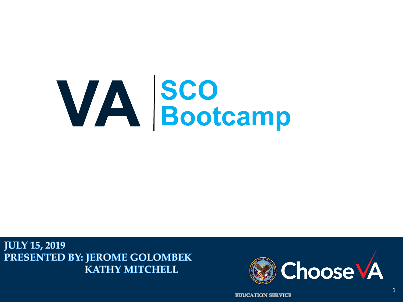### **VA SCO Bootcamp**

**JULY 15, 2019** PRESENTED BY: JEROME GOLOMBEK **KATHY MITCHELL** 



**EDUCATION SERVICE**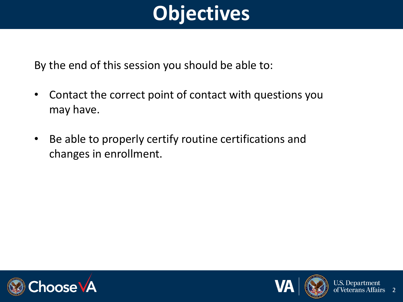### **Objectives**

By the end of this session you should be able to:

- Contact the correct point of contact with questions you may have.
- Be able to properly certify routine certifications and changes in enrollment.





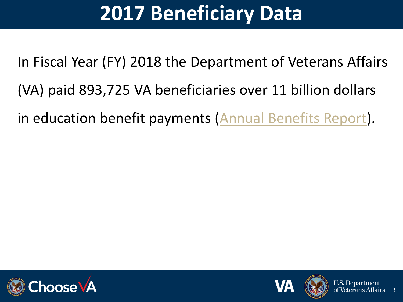### **2017 Beneficiary Data**

In Fiscal Year (FY) 2018 the Department of Veterans Affairs (VA) paid 893,725 VA beneficiaries over 11 billion dollars in education benefit payments [\(Annual Benefits Report](https://www.benefits.va.gov/REPORTS/abr/)).







3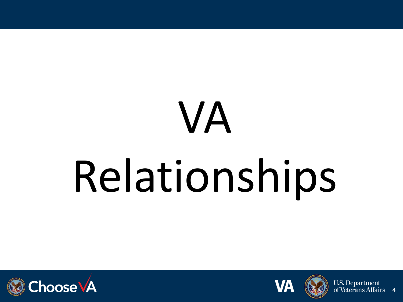# VA Relationships





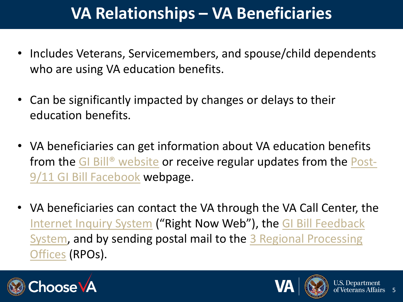### **VA Relationships – VA Beneficiaries**

- Includes Veterans, Servicemembers, and spouse/child dependents who are using VA education benefits.
- Can be significantly impacted by changes or delays to their education benefits.
- VA beneficiaries can get information about VA education benefits from the [GI Bill® website](https://www.benefits.va.gov/gibill/) [or receive regular updates from the Post-](https://www.facebook.com/gibillEducation/)9/11 GI Bill Facebook webpage.
- VA beneficiaries can contact the VA through the VA Call Center, the [Internet Inquiry System](https://gibill.custhelp.va.gov/) ("Right Now Web"), the GI Bill Feedback [System, and by sending postal mail to the 3 Regional Processing](https://www.benefits.va.gov/GIBILL/Feedback.asp)  Offices (RPOs).



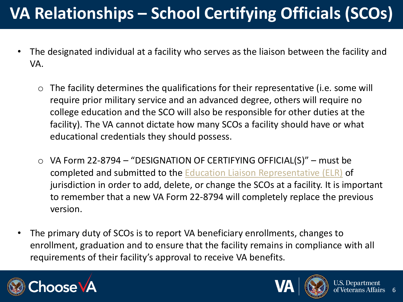### **VA Relationships – School Certifying Officials (SCOs)**

- The designated individual at a facility who serves as the liaison between the facility and VA.
	- o The facility determines the qualifications for their representative (i.e. some will require prior military service and an advanced degree, others will require no college education and the SCO will also be responsible for other duties at the facility). The VA cannot dictate how many SCOs a facility should have or what educational credentials they should possess.
	- o VA Form 22-8794 "DESIGNATION OF CERTIFYING OFFICIAL(S)" must be completed and submitted to the [Education Liaison Representative \(ELR\)](https://benefits.va.gov/gibill/resources/education_resources/school_certifying_officials/elr.asp) of jurisdiction in order to add, delete, or change the SCOs at a facility. It is important to remember that a new VA Form 22-8794 will completely replace the previous version.
- The primary duty of SCOs is to report VA beneficiary enrollments, changes to enrollment, graduation and to ensure that the facility remains in compliance with all requirements of their facility's approval to receive VA benefits.



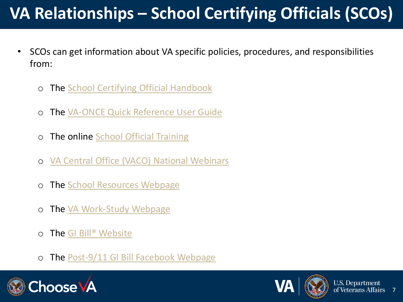### **VA Relationships – School Certifying Officials (SCOs)**

- SCOs can get information about VA specific policies, procedures, and responsibilities from:
	- o The [School Certifying Official Handbook](https://www.benefits.va.gov/GIBILL/docs/job_aids/SCO_Handbook.pdf)
	- The [VA-ONCE Quick Reference User Guide](https://www.benefits.va.gov/GIBILL/docs/vaonce/VAONCEguide.pdf)
	- o The online [School Official Training](https://www.benefits.va.gov/gibill/resources/education_resources/school_certifying_officials/online_sco_training.asp)
	- o [VA Central Office \(VACO\) National Webinars](https://www.benefits.va.gov/gibill/resources/education_resources/school_certifying_officials/presentations.asp)
	- The [School Resources Webpage](https://www.benefits.va.gov/gibill/school_resources.asp)
	- o The [VA Work-Study Webpage](https://www.benefits.va.gov/gibill/workstudy.asp)
	- The GI Bill<sup>®</sup> Website
	- o The [Post-9/11 GI Bill Facebook Webpage](https://www.facebook.com/gibillEducation/)





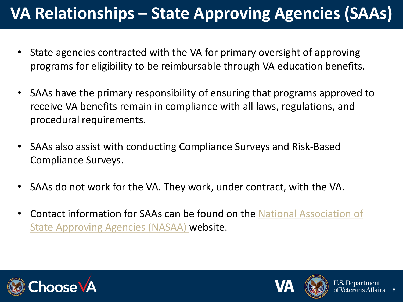### **VA Relationships – State Approving Agencies (SAAs)**

- State agencies contracted with the VA for primary oversight of approving programs for eligibility to be reimbursable through VA education benefits.
- SAAs have the primary responsibility of ensuring that programs approved to receive VA benefits remain in compliance with all laws, regulations, and procedural requirements.
- SAAs also assist with conducting Compliance Surveys and Risk-Based Compliance Surveys.
- SAAs do not work for the VA. They work, under contract, with the VA.
- [Contact information for SAAs can be found on the National Association of](http://www.nasaa-vetseducation.com/contacts.aspx)  State Approving Agencies (NASAA) website.





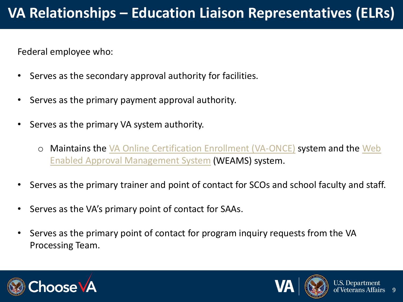Federal employee who:

- Serves as the secondary approval authority for facilities.
- Serves as the primary payment approval authority.
- Serves as the primary VA system authority.
	- o [Maintains the VA Online Certification Enrollment \(VA-ONCE\)](https://inquiry.vba.va.gov/weamspub/searchInst.do) system and the Web Enabled Approval Management System (WEAMS) system.
- Serves as the primary trainer and point of contact for SCOs and school faculty and staff.
- Serves as the VA's primary point of contact for SAAs.
- Serves as the primary point of contact for program inquiry requests from the VA Processing Team.





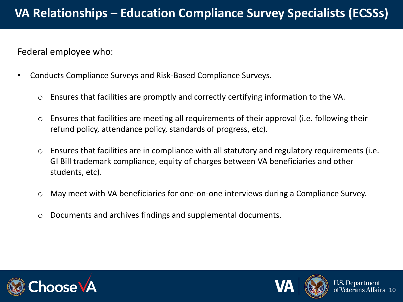Federal employee who:

- Conducts Compliance Surveys and Risk-Based Compliance Surveys.
	- o Ensures that facilities are promptly and correctly certifying information to the VA.
	- o Ensures that facilities are meeting all requirements of their approval (i.e. following their refund policy, attendance policy, standards of progress, etc).
	- o Ensures that facilities are in compliance with all statutory and regulatory requirements (i.e. GI Bill trademark compliance, equity of charges between VA beneficiaries and other students, etc).
	- o May meet with VA beneficiaries for one-on-one interviews during a Compliance Survey.
	- o Documents and archives findings and supplemental documents.





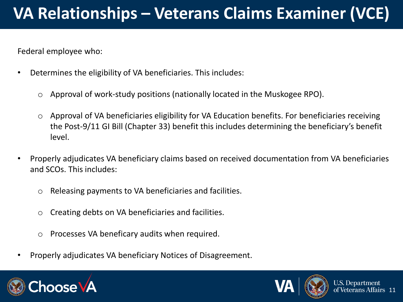### **VA Relationships – Veterans Claims Examiner (VCE)**

Federal employee who:

- Determines the eligibility of VA beneficiaries. This includes:
	- Approval of work-study positions (nationally located in the Muskogee RPO).
	- o Approval of VA beneficiaries eligibility for VA Education benefits. For beneficiaries receiving the Post-9/11 GI Bill (Chapter 33) benefit this includes determining the beneficiary's benefit level.
- Properly adjudicates VA beneficiary claims based on received documentation from VA beneficiaries and SCOs. This includes:
	- o Releasing payments to VA beneficiaries and facilities.
	- o Creating debts on VA beneficiaries and facilities.
	- o Processes VA beneficary audits when required.
- Properly adjudicates VA beneficiary Notices of Disagreement.





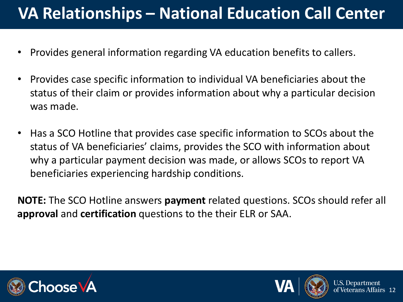### **VA Relationships – National Education Call Center**

- Provides general information regarding VA education benefits to callers.
- Provides case specific information to individual VA beneficiaries about the status of their claim or provides information about why a particular decision was made.
- Has a SCO Hotline that provides case specific information to SCOs about the status of VA beneficiaries' claims, provides the SCO with information about why a particular payment decision was made, or allows SCOs to report VA beneficiaries experiencing hardship conditions.

**NOTE:** The SCO Hotline answers **payment** related questions. SCOs should refer all **approval** and **certification** questions to the their ELR or SAA.





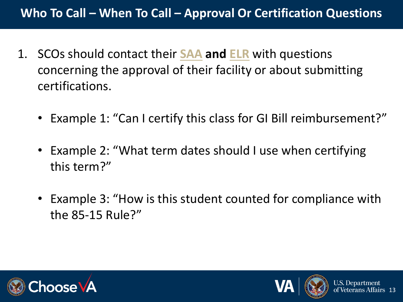#### **Who To Call – When To Call – Approval Or Certification Questions**

- 1. SCOs should contact their **[SAA](http://www.nasaa-vetseducation.com/contacts.aspx) and [ELR](https://benefits.va.gov/gibill/resources/education_resources/school_certifying_officials/elr.asp)** with questions concerning the approval of their facility or about submitting certifications.
	- Example 1: "Can I certify this class for GI Bill reimbursement?"
	- Example 2: "What term dates should I use when certifying this term?"
	- Example 3: "How is this student counted for compliance with the 85-15 Rule?"





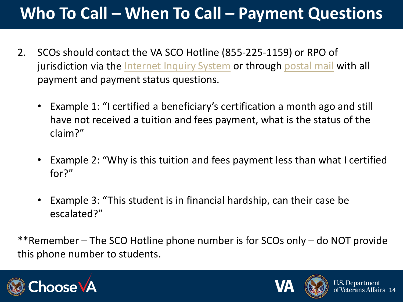### **Who To Call – When To Call – Payment Questions**

- 2. SCOs should contact the VA SCO Hotline (855-225-1159) or RPO of jurisdiction via the [Internet Inquiry System](https://gibill.custhelp.va.gov/) or through [postal mail](https://www.benefits.va.gov/gibill/regional_processing.asp) with all payment and payment status questions.
	- Example 1: "I certified a beneficiary's certification a month ago and still have not received a tuition and fees payment, what is the status of the claim?"
	- Example 2: "Why is this tuition and fees payment less than what I certified for?"
	- Example 3: "This student is in financial hardship, can their case be escalated?"

\*\*Remember – The SCO Hotline phone number is for SCOs only – do NOT provide this phone number to students.





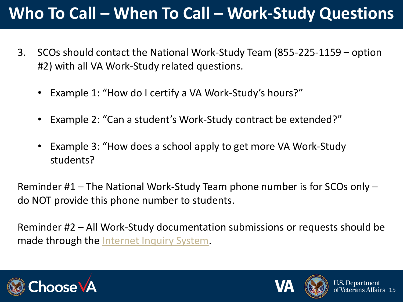### **Who To Call – When To Call – Work-Study Questions**

- 3. SCOs should contact the National Work-Study Team (855-225-1159 option #2) with all VA Work-Study related questions.
	- Example 1: "How do I certify a VA Work-Study's hours?"
	- Example 2: "Can a student's Work-Study contract be extended?"
	- Example 3: "How does a school apply to get more VA Work-Study students?

Reminder #1 – The National Work-Study Team phone number is for SCOs only – do NOT provide this phone number to students.

Reminder #2 – All Work-Study documentation submissions or requests should be made through the [Internet Inquiry System.](https://gibill.custhelp.va.gov/)





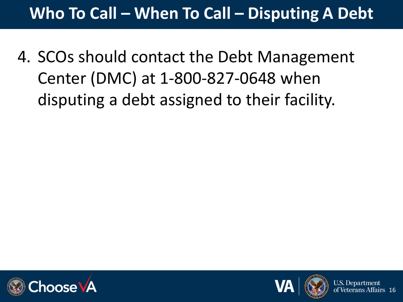### **Who To Call – When To Call – Disputing A Debt**

4. SCOs should contact the Debt Management Center (DMC) at 1-800-827-0648 when disputing a debt assigned to their facility.







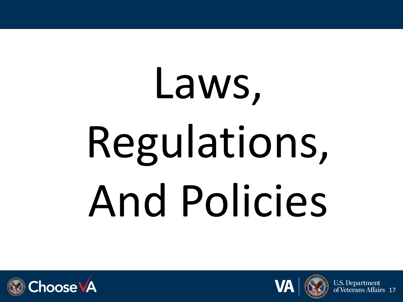# Laws, Regulations, And Policies





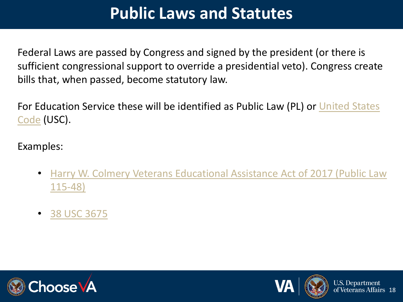### **Public Laws and Statutes**

Federal Laws are passed by Congress and signed by the president (or there is sufficient congressional support to override a presidential veto). Congress create bills that, when passed, become statutory law.

[For Education Service these will be identified as Public Law \(PL\) or United States](http://uscode.house.gov/)  Code (USC).

Examples:

- [Harry W. Colmery Veterans Educational Assistance Act of 2017 \(Public Law](https://www.google.com/url?sa=t&rct=j&q=&esrc=s&source=web&cd=1&cad=rja&uact=8&ved=0ahUKEwjnzfLjp63aAhVMzFMKHa3PD-kQFggnMAA&url=https://www.congress.gov/115/plaws/publ48/PLAW-115publ48.pdf&usg=AOvVaw3UgecmSUojGn30aXMS5DIP) 115-48)
- [38 USC 3675](http://uscode.house.gov/view.xhtml?req=(title:38%20section:3675%20edition:prelim))





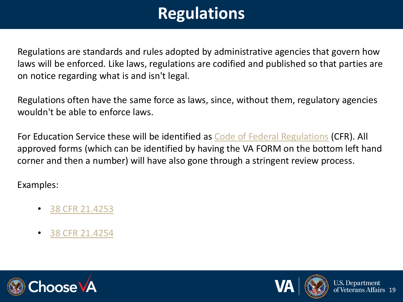### **Regulations**

Regulations are standards and rules adopted by administrative agencies that govern how laws will be enforced. Like laws, regulations are codified and published so that parties are on notice regarding what is and isn't legal.

Regulations often have the same force as laws, since, without them, regulatory agencies wouldn't be able to enforce laws.

For Education Service these will be identified as [Code of Federal Regulations](https://www.ecfr.gov/cgi-bin/text-idx?c=ecfr&sid=cc8b86306372b2f36fd6102ad13568ca&rgn=div5&view=text&node=38:2.0.1.1.6&idno=38#se38.2.21_14255) (CFR). All approved forms (which can be identified by having the VA FORM on the bottom left hand corner and then a number) will have also gone through a stringent review process.

#### Examples:

- [38 CFR 21.4253](https://www.ecfr.gov/cgi-bin/retrieveECFR?gp=1&SID=5013bafc7de025698dcd7357661e1fe8&ty=HTML&h=L&mc=true&r=SECTION&n=se38.2.21_14253)
- [38 CFR 21.4254](https://www.ecfr.gov/cgi-bin/retrieveECFR?gp=1&SID=d1ba741b297ddd9bb95c001a2814862a&ty=HTML&h=L&mc=true&r=SECTION&n=se38.2.21_14254)





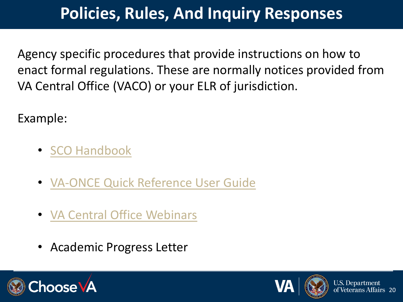### **Policies, Rules, And Inquiry Responses**

Agency specific procedures that provide instructions on how to enact formal regulations. These are normally notices provided from VA Central Office (VACO) or your ELR of jurisdiction.

Example:

- [SCO Handbook](https://www.benefits.va.gov/GIBILL/docs/job_aids/SCO_Handbook.pdf)
- [VA-ONCE Quick Reference User Guide](https://www.benefits.va.gov/GIBILL/docs/vaonce/VAONCEguide.pdf)
- [VA Central Office Webinars](https://www.benefits.va.gov/gibill/resources/education_resources/school_certifying_officials/presentations.asp)
- Academic Progress Letter





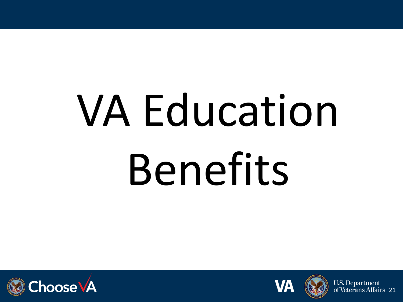# VA Education Benefits





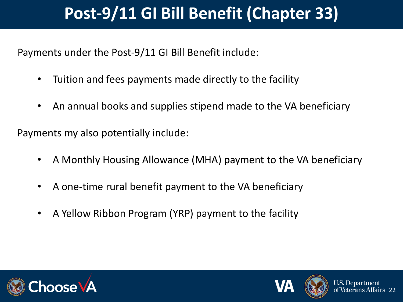### **Post-9/11 GI Bill Benefit (Chapter 33)**

Payments under the Post-9/11 GI Bill Benefit include:

- Tuition and fees payments made directly to the facility
- An annual books and supplies stipend made to the VA beneficiary

Payments my also potentially include:

- A Monthly Housing Allowance (MHA) payment to the VA beneficiary
- A one-time rural benefit payment to the VA beneficiary
- A Yellow Ribbon Program (YRP) payment to the facility





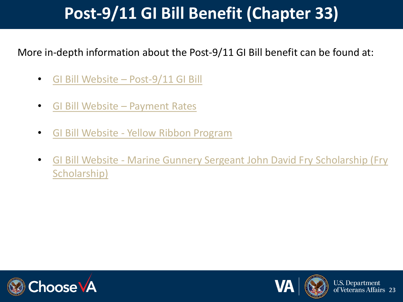### **Post-9/11 GI Bill Benefit (Chapter 33)**

More in-depth information about the Post-9/11 GI Bill benefit can be found at:

- [GI Bill Website –](https://www.benefits.va.gov/gibill/post911_gibill.asp) Post-9/11 GI Bill
- [GI Bill Website –](https://www.benefits.va.gov/GIBILL/resources/benefits_resources/rate_tables.asp) Payment Rates
- GI Bill Website [Yellow Ribbon Program](https://www.benefits.va.gov/gibill/yellow_ribbon.asp)
- GI Bill Website [Marine Gunnery Sergeant John David Fry Scholarship \(Fry](https://www.benefits.va.gov/GIBILL/Fry_scholarship.asp) Scholarship)





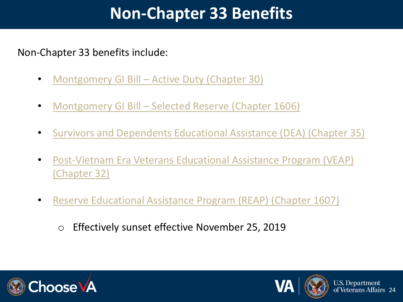### **Non-Chapter 33 Benefits**

#### Non-Chapter 33 benefits include:

- Montgomery GI Bill [Active Duty \(Chapter 30\)](https://www.benefits.va.gov/gibill/mgib_ad.asp)
- Montgomery GI Bill [Selected Reserve \(Chapter 1606\)](https://www.benefits.va.gov/gibill/mgib_sr.asp)
- [Survivors and Dependents Educational Assistance \(DEA\) \(Chapter 35\)](https://www.benefits.va.gov/GIBILL/DEA.asp)
- [Post-Vietnam Era Veterans Educational Assistance Program \(VEAP\)](https://www.benefits.va.gov/gibill/veap.asp) (Chapter 32)
- [Reserve Educational Assistance Program \(REAP\) \(Chapter 1607\)](https://www.benefits.va.gov/gibill/reap.asp)
	- o Effectively sunset effective November 25, 2019





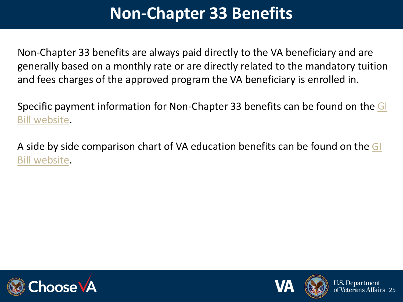### **Non-Chapter 33 Benefits**

Non-Chapter 33 benefits are always paid directly to the VA beneficiary and are generally based on a monthly rate or are directly related to the mandatory tuition and fees charges of the approved program the VA beneficiary is enrolled in.

[Specific payment information for Non-Chapter 33 benefits can be found on the GI](https://www.benefits.va.gov/GIBILL/resources/benefits_resources/rate_tables.asp) Bill website.

[A side by side comparison chart of VA education benefits can be found on the GI](https://benefits.va.gov/GIBILL/comparison_chart.asp) Bill website.





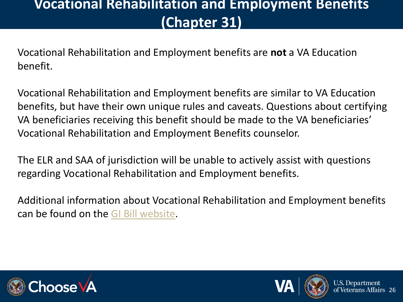#### **Vocational Rehabilitation and Employment Benefits (Chapter 31)**

Vocational Rehabilitation and Employment benefits are **not** a VA Education benefit.

Vocational Rehabilitation and Employment benefits are similar to VA Education benefits, but have their own unique rules and caveats. Questions about certifying VA beneficiaries receiving this benefit should be made to the VA beneficiaries' Vocational Rehabilitation and Employment Benefits counselor.

The ELR and SAA of jurisdiction will be unable to actively assist with questions regarding Vocational Rehabilitation and Employment benefits.

Additional information about Vocational Rehabilitation and Employment benefits can be found on the [GI Bill website](https://www.benefits.va.gov/vocrehab/index.asp).





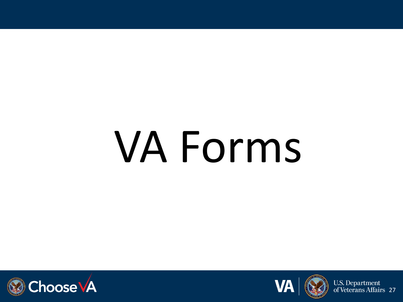## VA Forms





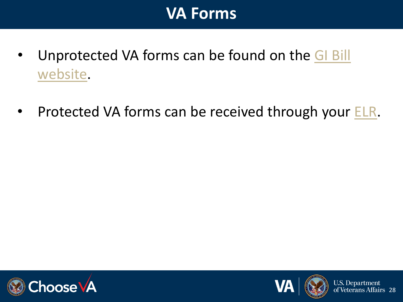

- [Unprotected VA forms can be found on the GI Bill](https://www.va.gov/vaforms/)  website.
- Protected VA forms can be received through your **ELR**.





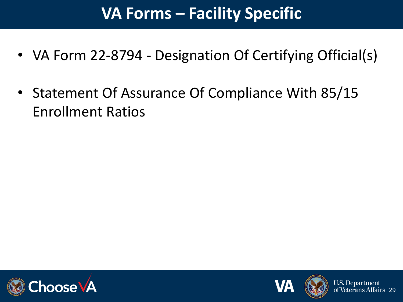### **VA Forms – Facility Specific**

- VA Form 22-8794 Designation Of Certifying Official(s)
- Statement Of Assurance Of Compliance With 85/15 Enrollment Ratios





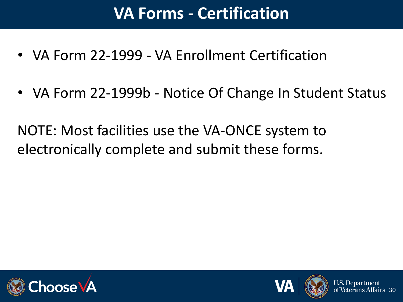### **VA Forms - Certification**

- VA Form 22-1999 VA Enrollment Certification
- VA Form 22-1999b Notice Of Change In Student Status

NOTE: Most facilities use the VA-ONCE system to electronically complete and submit these forms.





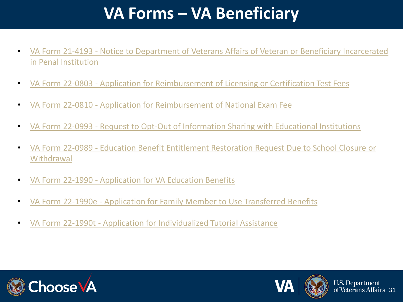### **VA Forms – VA Beneficiary**

- VA Form 21-4193 [Notice to Department of Veterans Affairs of Veteran or Beneficiary Incarcerated](http://www.vba.va.gov/pubs/forms/VBA-21-4193-ARE.pdf)  in Penal Institution
- VA Form 22-0803 [Application for Reimbursement of Licensing or Certification Test Fees](http://www.vba.va.gov/pubs/forms/VBA-22-0803-ARE.pdf)
- VA Form 22-0810 [Application for Reimbursement of National Exam Fee](http://www.vba.va.gov/pubs/forms/VBA-22-0810-ARE.pdf)
- VA Form 22-0993 [Request to Opt-Out of Information Sharing with Educational Institutions](http://www.vba.va.gov/pubs/forms/VBA-22-0993-ARE.pdf)
- VA Form 22-0989 [Education Benefit Entitlement Restoration Request Due to School Closure or](http://www.vba.va.gov/pubs/forms/VBA-22-0989-ARE.pdf)  **Withdrawal**
- VA Form 22-1990 [Application for VA Education Benefits](http://www.vba.va.gov/pubs/forms/VBA-22-1990-ARE.pdf)
- VA Form 22-1990e [Application for Family Member to Use Transferred Benefits](http://www.vba.va.gov/pubs/forms/VBA-22-1990e-ARE.pdf)
- VA Form 22-1990t [Application for Individualized Tutorial Assistance](http://www.vba.va.gov/pubs/forms/VBA-22-1990t-ARE.pdf)





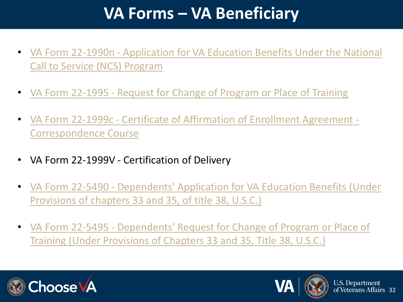### **VA Forms – VA Beneficiary**

- VA Form 22-1990n [Application for VA Education Benefits Under the National](http://www.vba.va.gov/pubs/forms/VBA-22-1990n-ARE.pdf)  Call to Service (NCS) Program
- VA Form 22-1995 [Request for Change of Program or Place of Training](http://www.vba.va.gov/pubs/forms/VBA-22-1995-ARE.pdf)
- VA Form 22-1999c [Certificate of Affirmation of Enrollment Agreement -](http://www.vba.va.gov/pubs/forms/VBA-22-1999c-ARE.pdf) Correspondence Course
- VA Form 22-1999V Certification of Delivery
- VA Form 22-5490 [Dependents' Application for VA Education Benefits \(Under](http://www.vba.va.gov/pubs/forms/VBA-22-5490-ARE.pdf)  Provisions of chapters 33 and 35, of title 38, U.S.C.)
- VA Form 22-5495 Dependents' Request for Change of Program or Place of [Training \(Under Provisions of Chapters 33 and 35, Title 38, U.S.C.\)](http://www.vba.va.gov/pubs/forms/VBA-22-5495-ARE.pdf)



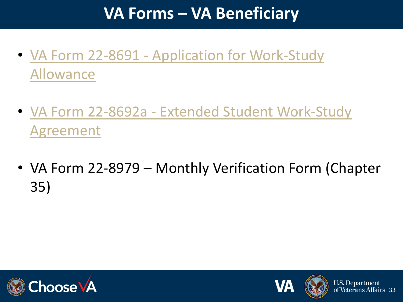### **VA Forms – VA Beneficiary**

- VA Form 22-8691 [Application for Work-Study](http://www.vba.va.gov/pubs/forms/VBA-22-8691-ARE.pdf) Allowance
- VA Form 22-8692a [Extended Student Work-Study](http://www.vba.va.gov/pubs/forms/VBA-22-8692a-ARE.pdf) Agreement
- VA Form 22-8979 Monthly Verification Form (Chapter 35)





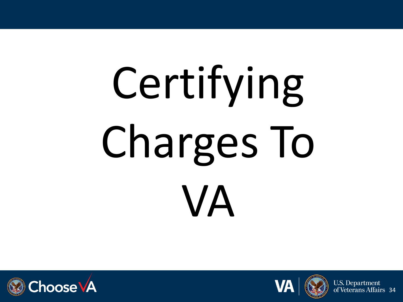# Certifying Charges To VA





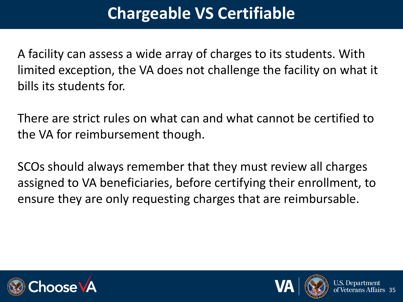### **Chargeable VS Certifiable**

A facility can assess a wide array of charges to its students. With limited exception, the VA does not challenge the facility on what it bills its students for.

There are strict rules on what can and what cannot be certified to the VA for reimbursement though.

SCOs should always remember that they must review all charges assigned to VA beneficiaries, before certifying their enrollment, to ensure they are only requesting charges that are reimbursable.





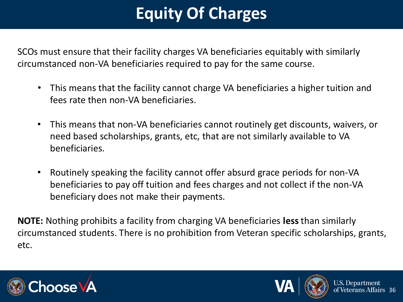### **Equity Of Charges**

SCOs must ensure that their facility charges VA beneficiaries equitably with similarly circumstanced non-VA beneficiaries required to pay for the same course.

- This means that the facility cannot charge VA beneficiaries a higher tuition and fees rate then non-VA beneficiaries.
- This means that non-VA beneficiaries cannot routinely get discounts, waivers, or need based scholarships, grants, etc, that are not similarly available to VA beneficiaries.
- Routinely speaking the facility cannot offer absurd grace periods for non-VA beneficiaries to pay off tuition and fees charges and not collect if the non-VA beneficiary does not make their payments.

**NOTE:** Nothing prohibits a facility from charging VA beneficiaries **less** than similarly circumstanced students. There is no prohibition from Veteran specific scholarships, grants, etc.





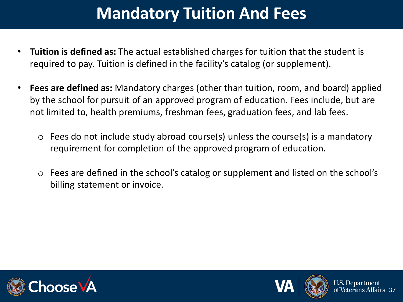# **Mandatory Tuition And Fees**

- **Tuition is defined as:** The actual established charges for tuition that the student is required to pay. Tuition is defined in the facility's catalog (or supplement).
- **Fees are defined as:** Mandatory charges (other than tuition, room, and board) applied by the school for pursuit of an approved program of education. Fees include, but are not limited to, health premiums, freshman fees, graduation fees, and lab fees.
	- $\circ$  Fees do not include study abroad course(s) unless the course(s) is a mandatory requirement for completion of the approved program of education.
	- o Fees are defined in the school's catalog or supplement and listed on the school's billing statement or invoice.





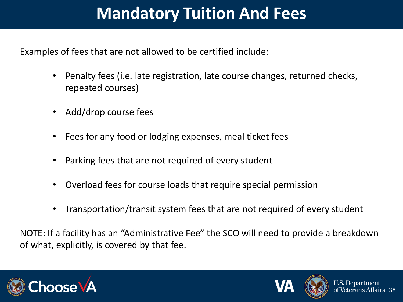## **Mandatory Tuition And Fees**

Examples of fees that are not allowed to be certified include:

- Penalty fees (i.e. late registration, late course changes, returned checks, repeated courses)
- Add/drop course fees
- Fees for any food or lodging expenses, meal ticket fees
- Parking fees that are not required of every student
- Overload fees for course loads that require special permission
- Transportation/transit system fees that are not required of every student

NOTE: If a facility has an "Administrative Fee" the SCO will need to provide a breakdown of what, explicitly, is covered by that fee.





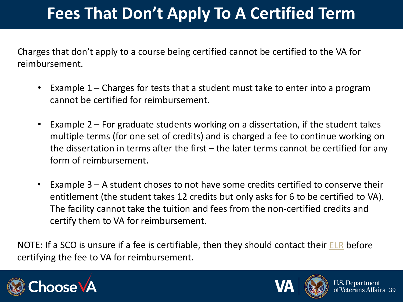# **Fees That Don't Apply To A Certified Term**

Charges that don't apply to a course being certified cannot be certified to the VA for reimbursement.

- Example  $1$  Charges for tests that a student must take to enter into a program cannot be certified for reimbursement.
- Example 2 For graduate students working on a dissertation, if the student takes multiple terms (for one set of credits) and is charged a fee to continue working on the dissertation in terms after the first – the later terms cannot be certified for any form of reimbursement.
- Example 3 A student choses to not have some credits certified to conserve their entitlement (the student takes 12 credits but only asks for 6 to be certified to VA). The facility cannot take the tuition and fees from the non-certified credits and certify them to VA for reimbursement.

NOTE: If a SCO is unsure if a fee is certifiable, then they should contact their [ELR](https://benefits.va.gov/gibill/resources/education_resources/school_certifying_officials/elr.asp) before certifying the fee to VA for reimbursement.





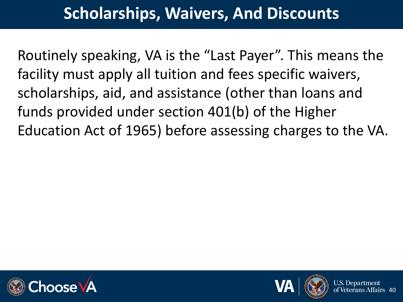#### **Scholarships, Waivers, And Discounts**

Routinely speaking, VA is the "Last Payer". This means the facility must apply all tuition and fees specific waivers, scholarships, aid, and assistance (other than loans and funds provided under section 401(b) of the Higher Education Act of 1965) before assessing charges to the VA.





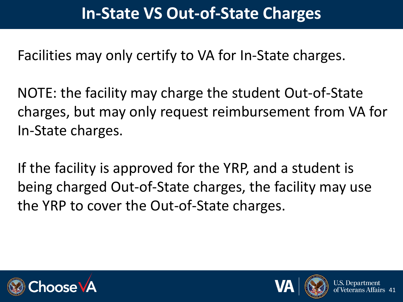Facilities may only certify to VA for In-State charges.

NOTE: the facility may charge the student Out-of-State charges, but may only request reimbursement from VA for In-State charges.

If the facility is approved for the YRP, and a student is being charged Out-of-State charges, the facility may use the YRP to cover the Out-of-State charges.





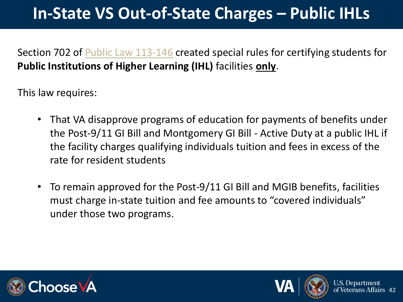# **In-State VS Out-of-State Charges – Public IHLs**

Section 702 of [Public Law 113-146](https://www.govinfo.gov/content/pkg/PLAW-113publ146/pdf/PLAW-113publ146.pdf) created special rules for certifying students for **Public Institutions of Higher Learning (IHL)** facilities **only**.

This law requires:

- That VA disapprove programs of education for payments of benefits under the Post-9/11 GI Bill and Montgomery GI Bill - Active Duty at a public IHL if the facility charges qualifying individuals tuition and fees in excess of the rate for resident students
- To remain approved for the Post-9/11 GI Bill and MGIB benefits, facilities must charge in-state tuition and fee amounts to "covered individuals" under those two programs.





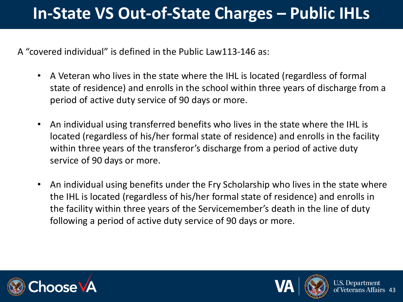### **In-State VS Out-of-State Charges – Public IHLs**

A "covered individual" is defined in the Public Law113-146 as:

- A Veteran who lives in the state where the IHL is located (regardless of formal state of residence) and enrolls in the school within three years of discharge from a period of active duty service of 90 days or more.
- An individual using transferred benefits who lives in the state where the IHL is located (regardless of his/her formal state of residence) and enrolls in the facility within three years of the transferor's discharge from a period of active duty service of 90 days or more.
- An individual using benefits under the Fry Scholarship who lives in the state where the IHL is located (regardless of his/her formal state of residence) and enrolls in the facility within three years of the Servicemember's death in the line of duty following a period of active duty service of 90 days or more.





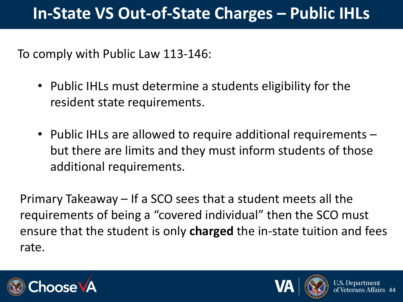#### **In-State VS Out-of-State Charges – Public IHLs**

To comply with Public Law 113-146:

- Public IHLs must determine a students eligibility for the resident state requirements.
- Public IHLs are allowed to require additional requirements but there are limits and they must inform students of those additional requirements.

Primary Takeaway – If a SCO sees that a student meets all the requirements of being a "covered individual" then the SCO must ensure that the student is only **charged** the in-state tuition and fees rate.





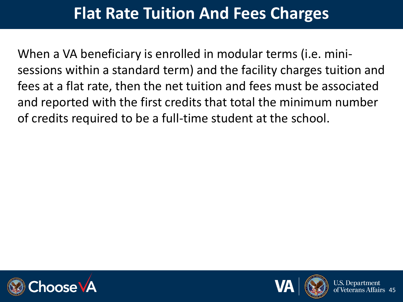#### **Flat Rate Tuition And Fees Charges**

When a VA beneficiary is enrolled in modular terms (i.e. minisessions within a standard term) and the facility charges tuition and fees at a flat rate, then the net tuition and fees must be associated and reported with the first credits that total the minimum number of credits required to be a full-time student at the school.





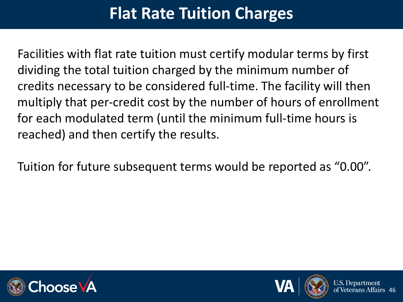# **Flat Rate Tuition Charges**

Facilities with flat rate tuition must certify modular terms by first dividing the total tuition charged by the minimum number of credits necessary to be considered full-time. The facility will then multiply that per-credit cost by the number of hours of enrollment for each modulated term (until the minimum full-time hours is reached) and then certify the results.

Tuition for future subsequent terms would be reported as "0.00".





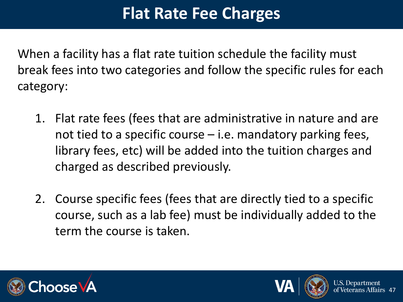# **Flat Rate Fee Charges**

When a facility has a flat rate tuition schedule the facility must break fees into two categories and follow the specific rules for each category:

- 1. Flat rate fees (fees that are administrative in nature and are not tied to a specific course – i.e. mandatory parking fees, library fees, etc) will be added into the tuition charges and charged as described previously.
- 2. Course specific fees (fees that are directly tied to a specific course, such as a lab fee) must be individually added to the term the course is taken.





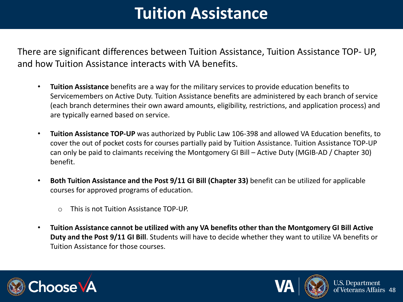# **Tuition Assistance**

There are significant differences between Tuition Assistance, Tuition Assistance TOP- UP, and how Tuition Assistance interacts with VA benefits.

- **Tuition Assistance** benefits are a way for the military services to provide education benefits to Servicemembers on Active Duty. Tuition Assistance benefits are administered by each branch of service (each branch determines their own award amounts, eligibility, restrictions, and application process) and are typically earned based on service.
- **Tuition Assistance TOP-UP** was authorized by Public Law 106-398 and allowed VA Education benefits, to cover the out of pocket costs for courses partially paid by Tuition Assistance. Tuition Assistance TOP-UP can only be paid to claimants receiving the Montgomery GI Bill – Active Duty (MGIB-AD / Chapter 30) benefit.
- **Both Tuition Assistance and the Post 9/11 GI Bill (Chapter 33)** benefit can be utilized for applicable courses for approved programs of education.
	- o This is not Tuition Assistance TOP-UP.
- **Tuition Assistance cannot be utilized with any VA benefits other than the Montgomery GI Bill Active Duty and the Post 9/11 GI Bill**. Students will have to decide whether they want to utilize VA benefits or Tuition Assistance for those courses.





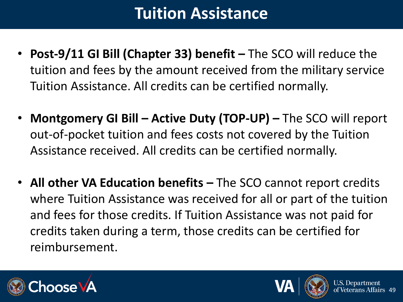# **Tuition Assistance**

- **Post-9/11 GI Bill (Chapter 33) benefit –** The SCO will reduce the tuition and fees by the amount received from the military service Tuition Assistance. All credits can be certified normally.
- **Montgomery GI Bill – Active Duty (TOP-UP) –** The SCO will report out-of-pocket tuition and fees costs not covered by the Tuition Assistance received. All credits can be certified normally.
- **All other VA Education benefits –** The SCO cannot report credits where Tuition Assistance was received for all or part of the tuition and fees for those credits. If Tuition Assistance was not paid for credits taken during a term, those credits can be certified for reimbursement.





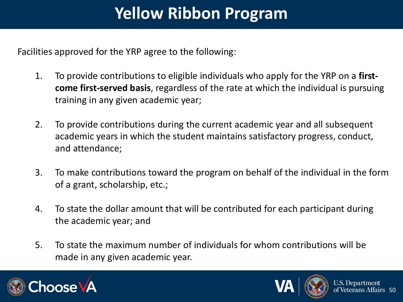# **Yellow Ribbon Program**

Facilities approved for the YRP agree to the following:

- 1. To provide contributions to eligible individuals who apply for the YRP on a **firstcome first-served basis**, regardless of the rate at which the individual is pursuing training in any given academic year;
- 2. To provide contributions during the current academic year and all subsequent academic years in which the student maintains satisfactory progress, conduct, and attendance;
- 3. To make contributions toward the program on behalf of the individual in the form of a grant, scholarship, etc.;
- 4. To state the dollar amount that will be contributed for each participant during the academic year; and
- 5. To state the maximum number of individuals for whom contributions will be made in any given academic year.





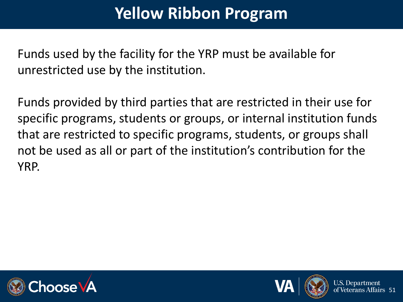# **Yellow Ribbon Program**

Funds used by the facility for the YRP must be available for unrestricted use by the institution.

Funds provided by third parties that are restricted in their use for specific programs, students or groups, or internal institution funds that are restricted to specific programs, students, or groups shall not be used as all or part of the institution's contribution for the YRP.





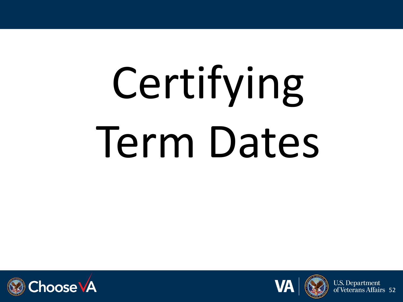# Certifying Term Dates







**U.S. Department** of Veterans Affairs 52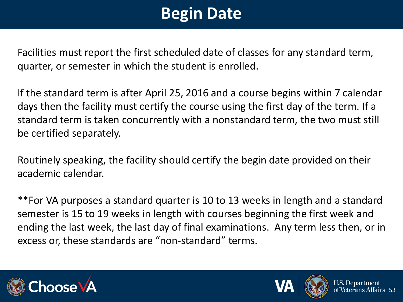# **Begin Date**

Facilities must report the first scheduled date of classes for any standard term, quarter, or semester in which the student is enrolled.

If the standard term is after April 25, 2016 and a course begins within 7 calendar days then the facility must certify the course using the first day of the term. If a standard term is taken concurrently with a nonstandard term, the two must still be certified separately.

Routinely speaking, the facility should certify the begin date provided on their academic calendar.

\*\*For VA purposes a standard quarter is 10 to 13 weeks in length and a standard semester is 15 to 19 weeks in length with courses beginning the first week and ending the last week, the last day of final examinations. Any term less then, or in excess or, these standards are "non-standard" terms.





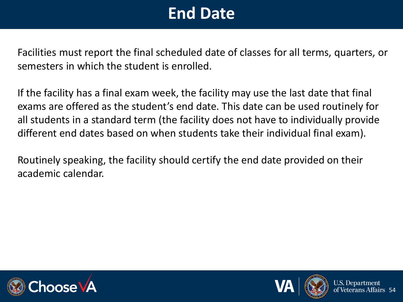# **End Date**

Facilities must report the final scheduled date of classes for all terms, quarters, or semesters in which the student is enrolled.

If the facility has a final exam week, the facility may use the last date that final exams are offered as the student's end date. This date can be used routinely for all students in a standard term (the facility does not have to individually provide different end dates based on when students take their individual final exam).

Routinely speaking, the facility should certify the end date provided on their academic calendar.





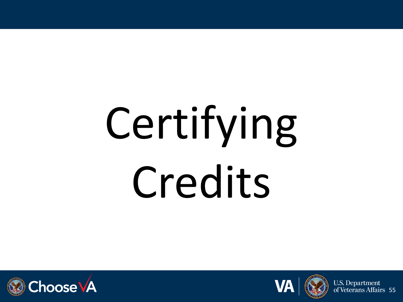# Certifying Credits





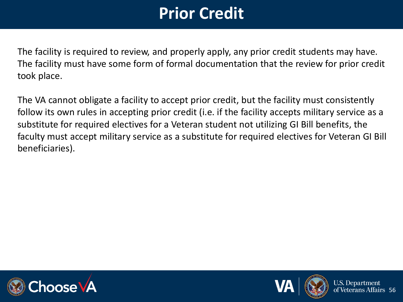# **Prior Credit**

The facility is required to review, and properly apply, any prior credit students may have. The facility must have some form of formal documentation that the review for prior credit took place.

The VA cannot obligate a facility to accept prior credit, but the facility must consistently follow its own rules in accepting prior credit (i.e. if the facility accepts military service as a substitute for required electives for a Veteran student not utilizing GI Bill benefits, the faculty must accept military service as a substitute for required electives for Veteran GI Bill beneficiaries).





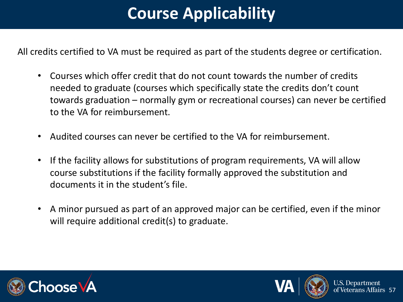# **Course Applicability**

All credits certified to VA must be required as part of the students degree or certification.

- Courses which offer credit that do not count towards the number of credits needed to graduate (courses which specifically state the credits don't count towards graduation – normally gym or recreational courses) can never be certified to the VA for reimbursement.
- Audited courses can never be certified to the VA for reimbursement.
- If the facility allows for substitutions of program requirements, VA will allow course substitutions if the facility formally approved the substitution and documents it in the student's file.
- A minor pursued as part of an approved major can be certified, even if the minor will require additional credit(s) to graduate.





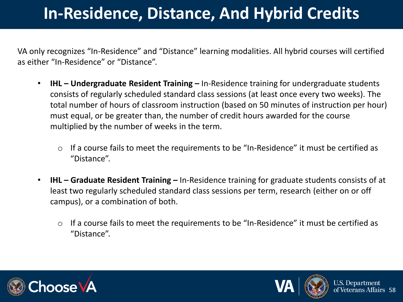# **In-Residence, Distance, And Hybrid Credits**

VA only recognizes "In-Residence" and "Distance" learning modalities. All hybrid courses will certified as either "In-Residence" or "Distance".

- **IHL – Undergraduate Resident Training –** In-Residence training for undergraduate students consists of regularly scheduled standard class sessions (at least once every two weeks). The total number of hours of classroom instruction (based on 50 minutes of instruction per hour) must equal, or be greater than, the number of credit hours awarded for the course multiplied by the number of weeks in the term.
	- o If a course fails to meet the requirements to be "In-Residence" it must be certified as "Distance".
- **IHL – Graduate Resident Training –** In-Residence training for graduate students consists of at least two regularly scheduled standard class sessions per term, research (either on or off campus), or a combination of both.
	- o If a course fails to meet the requirements to be "In-Residence" it must be certified as "Distance".





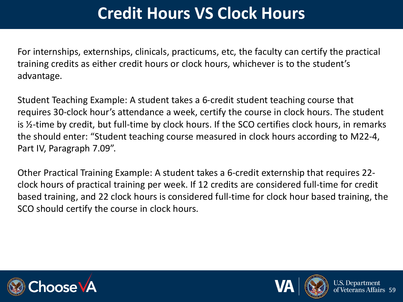# **Credit Hours VS Clock Hours**

For internships, externships, clinicals, practicums, etc, the faculty can certify the practical training credits as either credit hours or clock hours, whichever is to the student's advantage.

Student Teaching Example: A student takes a 6-credit student teaching course that requires 30-clock hour's attendance a week, certify the course in clock hours. The student is ½-time by credit, but full-time by clock hours. If the SCO certifies clock hours, in remarks the should enter: "Student teaching course measured in clock hours according to M22-4, Part IV, Paragraph 7.09".

Other Practical Training Example: A student takes a 6-credit externship that requires 22 clock hours of practical training per week. If 12 credits are considered full-time for credit based training, and 22 clock hours is considered full-time for clock hour based training, the SCO should certify the course in clock hours.



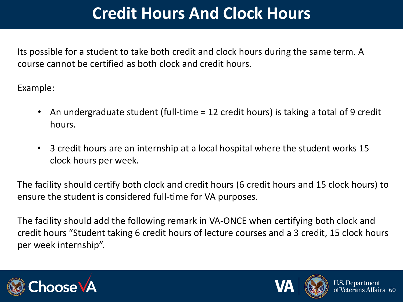## **Credit Hours And Clock Hours**

Its possible for a student to take both credit and clock hours during the same term. A course cannot be certified as both clock and credit hours.

Example:

- An undergraduate student (full-time = 12 credit hours) is taking a total of 9 credit hours.
- 3 credit hours are an internship at a local hospital where the student works 15 clock hours per week.

The facility should certify both clock and credit hours (6 credit hours and 15 clock hours) to ensure the student is considered full-time for VA purposes.

The facility should add the following remark in VA-ONCE when certifying both clock and credit hours "Student taking 6 credit hours of lecture courses and a 3 credit, 15 clock hours per week internship".





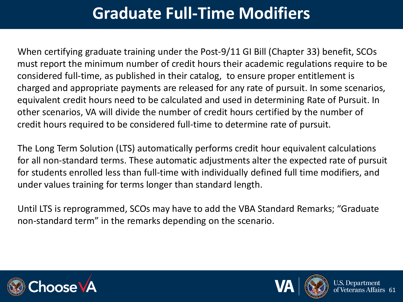# **Graduate Full-Time Modifiers**

When certifying graduate training under the Post-9/11 GI Bill (Chapter 33) benefit, SCOs must report the minimum number of credit hours their academic regulations require to be considered full-time, as published in their catalog, to ensure proper entitlement is charged and appropriate payments are released for any rate of pursuit. In some scenarios, equivalent credit hours need to be calculated and used in determining Rate of Pursuit. In other scenarios, VA will divide the number of credit hours certified by the number of credit hours required to be considered full-time to determine rate of pursuit.

The Long Term Solution (LTS) automatically performs credit hour equivalent calculations for all non-standard terms. These automatic adjustments alter the expected rate of pursuit for students enrolled less than full-time with individually defined full time modifiers, and under values training for terms longer than standard length.

Until LTS is reprogrammed, SCOs may have to add the VBA Standard Remarks; "Graduate non-standard term" in the remarks depending on the scenario.





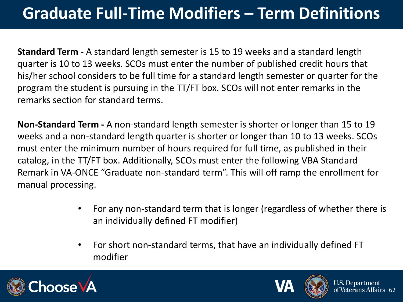# **Graduate Full-Time Modifiers – Term Definitions**

**Standard Term -** A standard length semester is 15 to 19 weeks and a standard length quarter is 10 to 13 weeks. SCOs must enter the number of published credit hours that his/her school considers to be full time for a standard length semester or quarter for the program the student is pursuing in the TT/FT box. SCOs will not enter remarks in the remarks section for standard terms.

**Non-Standard Term -** A non-standard length semester is shorter or longer than 15 to 19 weeks and a non-standard length quarter is shorter or longer than 10 to 13 weeks. SCOs must enter the minimum number of hours required for full time, as published in their catalog, in the TT/FT box. Additionally, SCOs must enter the following VBA Standard Remark in VA-ONCE "Graduate non-standard term". This will off ramp the enrollment for manual processing.

- For any non-standard term that is longer (regardless of whether there is an individually defined FT modifier)
- For short non-standard terms, that have an individually defined FT modifier





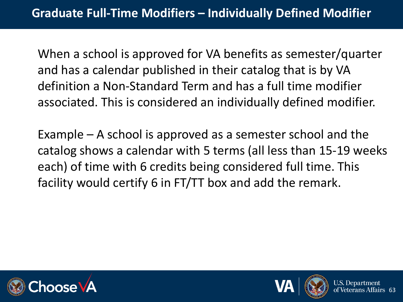When a school is approved for VA benefits as semester/quarter and has a calendar published in their catalog that is by VA definition a Non-Standard Term and has a full time modifier associated. This is considered an individually defined modifier.

Example – A school is approved as a semester school and the catalog shows a calendar with 5 terms (all less than 15-19 weeks each) of time with 6 credits being considered full time. This facility would certify 6 in FT/TT box and add the remark.





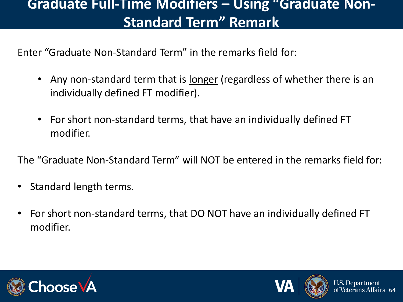#### **Graduate Full-Time Modifiers – Using "Graduate Non-Standard Term" Remark**

Enter "Graduate Non-Standard Term" in the remarks field for:

- Any non-standard term that is <u>longer</u> (regardless of whether there is an individually defined FT modifier).
- For short non-standard terms, that have an individually defined FT modifier.

The "Graduate Non-Standard Term" will NOT be entered in the remarks field for:

- Standard length terms.
- For short non-standard terms, that DO NOT have an individually defined FT modifier.





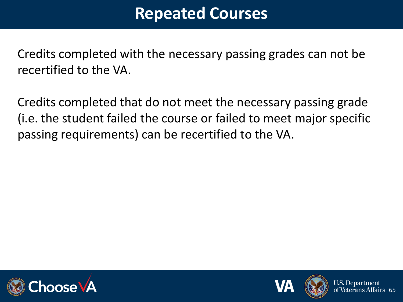#### **Repeated Courses**

Credits completed with the necessary passing grades can not be recertified to the VA.

Credits completed that do not meet the necessary passing grade (i.e. the student failed the course or failed to meet major specific passing requirements) can be recertified to the VA.





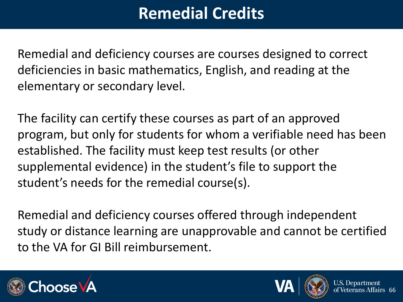# **Remedial Credits**

Remedial and deficiency courses are courses designed to correct deficiencies in basic mathematics, English, and reading at the elementary or secondary level.

The facility can certify these courses as part of an approved program, but only for students for whom a verifiable need has been established. The facility must keep test results (or other supplemental evidence) in the student's file to support the student's needs for the remedial course(s).

Remedial and deficiency courses offered through independent study or distance learning are unapprovable and cannot be certified to the VA for GI Bill reimbursement.





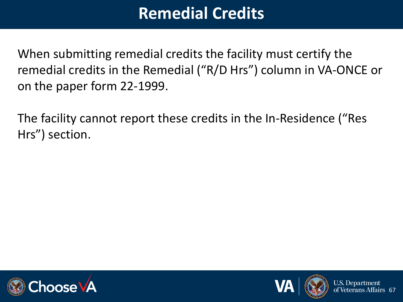#### **Remedial Credits**

When submitting remedial credits the facility must certify the remedial credits in the Remedial ("R/D Hrs") column in VA-ONCE or on the paper form 22-1999.

The facility cannot report these credits in the In-Residence ("Res Hrs") section.





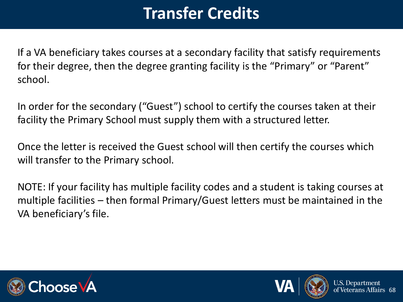# **Transfer Credits**

If a VA beneficiary takes courses at a secondary facility that satisfy requirements for their degree, then the degree granting facility is the "Primary" or "Parent" school.

In order for the secondary ("Guest") school to certify the courses taken at their facility the Primary School must supply them with a structured letter.

Once the letter is received the Guest school will then certify the courses which will transfer to the Primary school.

NOTE: If your facility has multiple facility codes and a student is taking courses at multiple facilities – then formal Primary/Guest letters must be maintained in the VA beneficiary's file.





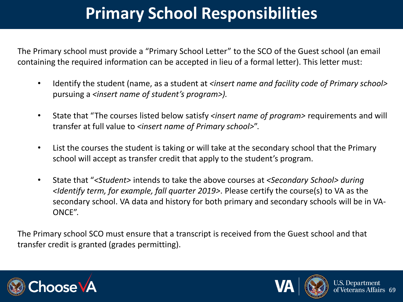# **Primary School Responsibilities**

The Primary school must provide a "Primary School Letter" to the SCO of the Guest school (an email containing the required information can be accepted in lieu of a formal letter). This letter must:

- Identify the student (name, as a student at *<insert name and facility code of Primary school>*  pursuing a *<insert name of student's program>).*
- State that "The courses listed below satisfy *<insert name of program>* requirements and will transfer at full value to *<insert name of Primary school>*".
- List the courses the student is taking or will take at the secondary school that the Primary school will accept as transfer credit that apply to the student's program.
- State that "*<Student>* intends to take the above courses at *<Secondary School> during <Identify term, for example, fall quarter 2019>*. Please certify the course(s) to VA as the secondary school. VA data and history for both primary and secondary schools will be in VA-ONCE".

The Primary school SCO must ensure that a transcript is received from the Guest school and that transfer credit is granted (grades permitting).





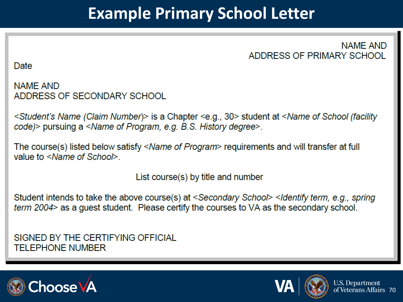#### **Example Primary School Letter**

**NAME AND** ADDRESS OF PRIMARY SCHOOL

Date

**NAME AND** ADDRESS OF SECONDARY SCHOOL

Student's Name (Claim Number)> is a Chapter <e.g., 30> student at <Name of School (facility</a> code) > pursuing a <Name of Program, e.g. B.S. History degree>.

The course(s) listed below satisfy <Name of Program> requirements and will transfer at full value to <Name of School>

List course(s) by title and number

Student intends to take the above course(s) at <Secondary School> <Identify term, e.g., spring term 2004> as a guest student. Please certify the courses to VA as the secondary school.

SIGNED BY THE CERTIFYING OFFICIAL **TELEPHONE NUMBER** 



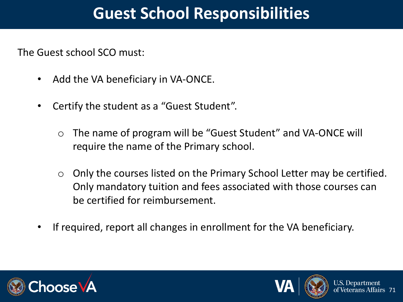#### **Guest School Responsibilities**

The Guest school SCO must:

- Add the VA beneficiary in VA-ONCE.
- Certify the student as a "Guest Student".
	- o The name of program will be "Guest Student" and VA-ONCE will require the name of the Primary school.
	- $\circ$  Only the courses listed on the Primary School Letter may be certified. Only mandatory tuition and fees associated with those courses can be certified for reimbursement.
- If required, report all changes in enrollment for the VA beneficiary.





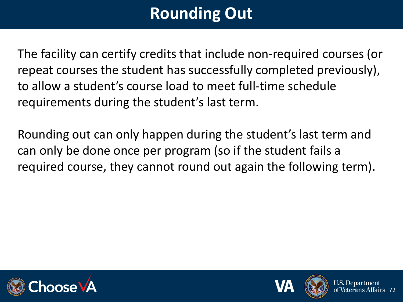# **Rounding Out**

The facility can certify credits that include non-required courses (or repeat courses the student has successfully completed previously), to allow a student's course load to meet full-time schedule requirements during the student's last term.

Rounding out can only happen during the student's last term and can only be done once per program (so if the student fails a required course, they cannot round out again the following term).





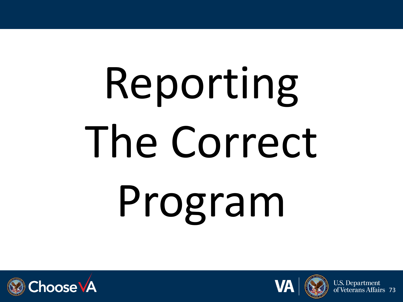# Reporting The Correct Program





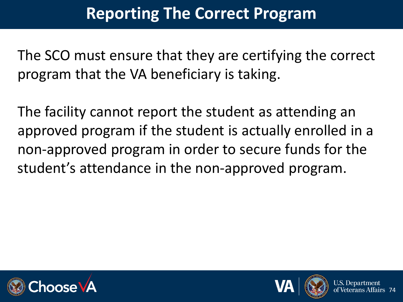### **Reporting The Correct Program**

The SCO must ensure that they are certifying the correct program that the VA beneficiary is taking.

The facility cannot report the student as attending an approved program if the student is actually enrolled in a non-approved program in order to secure funds for the student's attendance in the non-approved program.





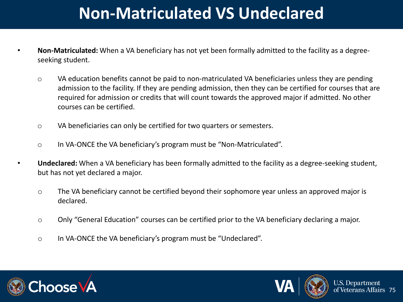### **Non-Matriculated VS Undeclared**

- **Non-Matriculated:** When a VA beneficiary has not yet been formally admitted to the facility as a degreeseeking student.
	- o VA education benefits cannot be paid to non-matriculated VA beneficiaries unless they are pending admission to the facility. If they are pending admission, then they can be certified for courses that are required for admission or credits that will count towards the approved major if admitted. No other courses can be certified.
	- o VA beneficiaries can only be certified for two quarters or semesters.
	- o In VA-ONCE the VA beneficiary's program must be "Non-Matriculated".
- **Undeclared:** When a VA beneficiary has been formally admitted to the facility as a degree-seeking student, but has not yet declared a major.
	- o The VA beneficiary cannot be certified beyond their sophomore year unless an approved major is declared.
	- o Only "General Education" courses can be certified prior to the VA beneficiary declaring a major.
	- o In VA-ONCE the VA beneficiary's program must be "Undeclared".





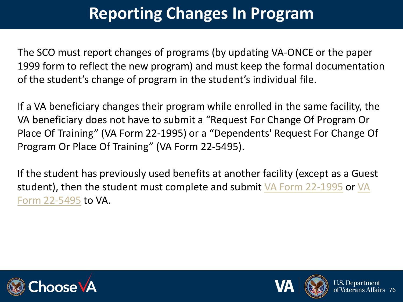### **Reporting Changes In Program**

The SCO must report changes of programs (by updating VA-ONCE or the paper 1999 form to reflect the new program) and must keep the formal documentation of the student's change of program in the student's individual file.

If a VA beneficiary changes their program while enrolled in the same facility, the VA beneficiary does not have to submit a "Request For Change Of Program Or Place Of Training" (VA Form 22-1995) or a "Dependents' Request For Change Of Program Or Place Of Training" (VA Form 22-5495).

If the student has previously used benefits at another facility (except as a Guest [student\), then the student must complete and submit VA Form 22-1995](https://www.vba.va.gov/pubs/forms/VBA-22-5495-ARE.pdf) or VA Form 22-5495 to VA.





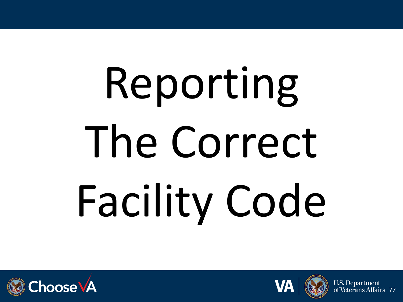# Reporting The Correct Facility Code







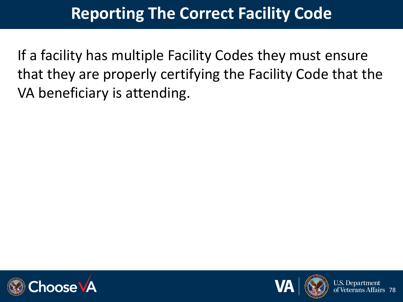### **Reporting The Correct Facility Code**

If a facility has multiple Facility Codes they must ensure that they are properly certifying the Facility Code that the VA beneficiary is attending.





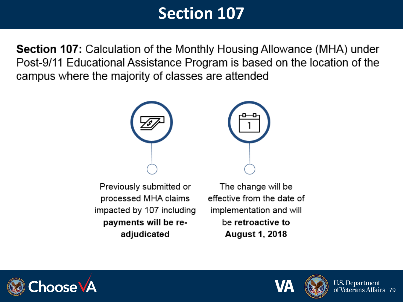### **Section 107**

**Section 107:** Calculation of the Monthly Housing Allowance (MHA) under Post-9/11 Educational Assistance Program is based on the location of the campus where the majority of classes are attended



Previously submitted or processed MHA claims impacted by 107 including payments will be readjudicated

The change will be effective from the date of implementation and will be retroactive to **August 1, 2018** 





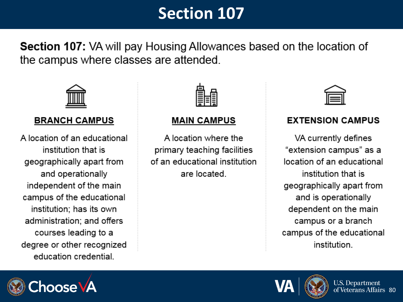### **Section 107**

**Section 107:** VA will pay Housing Allowances based on the location of the campus where classes are attended.



#### **BRANCH CAMPUS**

A location of an educational institution that is geographically apart from and operationally independent of the main campus of the educational institution; has its own administration: and offers courses leading to a degree or other recognized education credential.



#### **MAIN CAMPUS**

A location where the primary teaching facilities of an educational institution are located.

#### **EXTENSION CAMPUS**

VA currently defines "extension campus" as a location of an educational institution that is geographically apart from and is operationally dependent on the main campus or a branch campus of the educational *institution* 





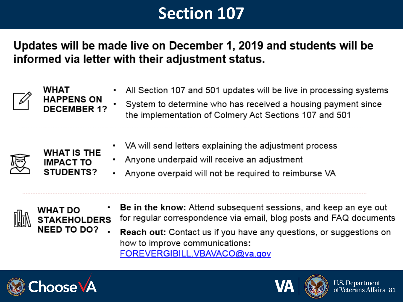### **Section 107**

Updates will be made live on December 1, 2019 and students will be informed via letter with their adjustment status.





**WHAT IS THE** 

**IMPACT TO STUDENTS?** 

- All Section 107 and 501 updates will be live in processing systems
	- System to determine who has received a housing payment since the implementation of Colmery Act Sections 107 and 501
- VA will send letters explaining the adjustment process
- Anyone underpaid will receive an adjustment
- Anyone overpaid will not be required to reimburse VA





- Be in the know: Attend subsequent sessions, and keep an eye out for regular correspondence via email, blog posts and FAQ documents
- **Reach out:** Contact us if you have any questions, or suggestions on how to improve communications: FOREVERGIBILL.VBAVACO@va.gov





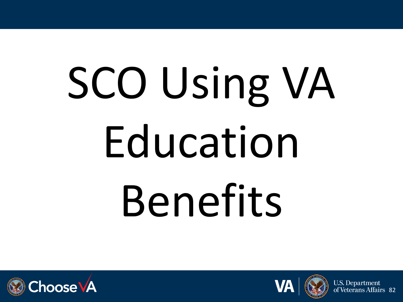# SCO Using VA Education Benefits







erans Affairs 82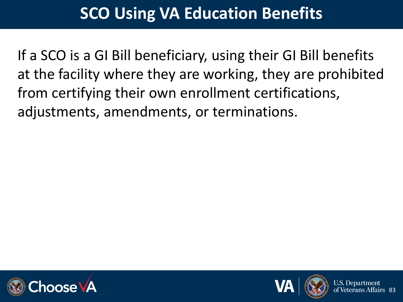### **SCO Using VA Education Benefits**

If a SCO is a GI Bill beneficiary, using their GI Bill benefits at the facility where they are working, they are prohibited from certifying their own enrollment certifications, adjustments, amendments, or terminations.





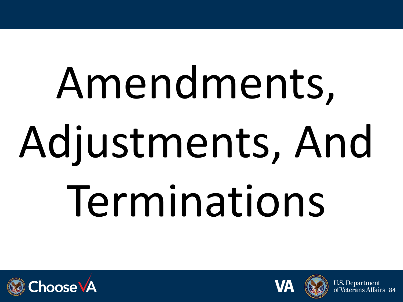# Amendments, Adjustments, And Terminations





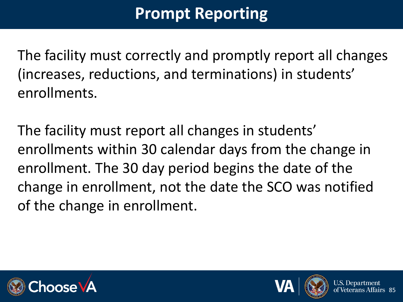### **Prompt Reporting**

The facility must correctly and promptly report all changes (increases, reductions, and terminations) in students' enrollments.

The facility must report all changes in students' enrollments within 30 calendar days from the change in enrollment. The 30 day period begins the date of the change in enrollment, not the date the SCO was notified of the change in enrollment.





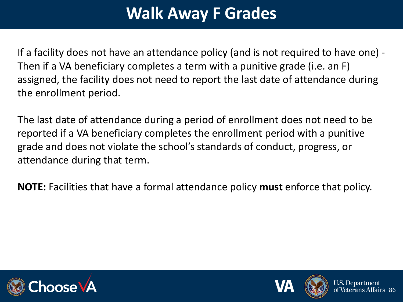### **Walk Away F Grades**

If a facility does not have an attendance policy (and is not required to have one) - Then if a VA beneficiary completes a term with a punitive grade (i.e. an F) assigned, the facility does not need to report the last date of attendance during the enrollment period.

The last date of attendance during a period of enrollment does not need to be reported if a VA beneficiary completes the enrollment period with a punitive grade and does not violate the school's standards of conduct, progress, or attendance during that term.

**NOTE:** Facilities that have a formal attendance policy **must** enforce that policy.





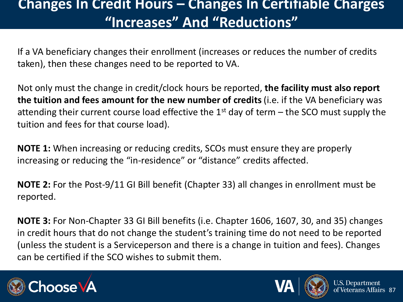### **Changes In Credit Hours – Changes In Certifiable Charges "Increases" And "Reductions"**

If a VA beneficiary changes their enrollment (increases or reduces the number of credits taken), then these changes need to be reported to VA.

Not only must the change in credit/clock hours be reported, **the facility must also report the tuition and fees amount for the new number of credits** (i.e. if the VA beneficiary was attending their current course load effective the  $1<sup>st</sup>$  day of term – the SCO must supply the tuition and fees for that course load).

**NOTE 1:** When increasing or reducing credits, SCOs must ensure they are properly increasing or reducing the "in-residence" or "distance" credits affected.

**NOTE 2:** For the Post-9/11 GI Bill benefit (Chapter 33) all changes in enrollment must be reported.

**NOTE 3:** For Non-Chapter 33 GI Bill benefits (i.e. Chapter 1606, 1607, 30, and 35) changes in credit hours that do not change the student's training time do not need to be reported (unless the student is a Serviceperson and there is a change in tuition and fees). Changes can be certified if the SCO wishes to submit them.





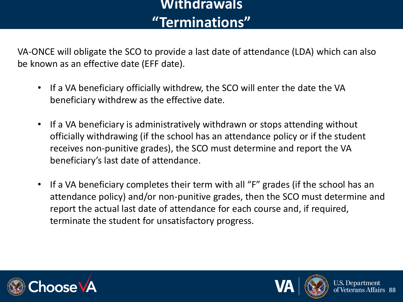### **Withdrawals "Terminations"**

VA-ONCE will obligate the SCO to provide a last date of attendance (LDA) which can also be known as an effective date (EFF date).

- If a VA beneficiary officially withdrew, the SCO will enter the date the VA beneficiary withdrew as the effective date.
- If a VA beneficiary is administratively withdrawn or stops attending without officially withdrawing (if the school has an attendance policy or if the student receives non-punitive grades), the SCO must determine and report the VA beneficiary's last date of attendance.
- If a VA beneficiary completes their term with all "F" grades (if the school has an attendance policy) and/or non-punitive grades, then the SCO must determine and report the actual last date of attendance for each course and, if required, terminate the student for unsatisfactory progress.





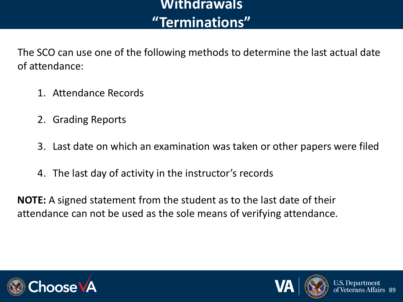### **Withdrawals "Terminations"**

The SCO can use one of the following methods to determine the last actual date of attendance:

- 1. Attendance Records
- 2. Grading Reports
- 3. Last date on which an examination was taken or other papers were filed
- 4. The last day of activity in the instructor's records

**NOTE:** A signed statement from the student as to the last date of their attendance can not be used as the sole means of verifying attendance.





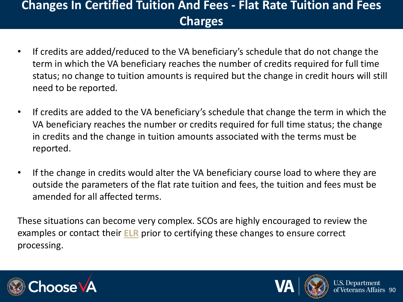### **Changes In Certified Tuition And Fees - Flat Rate Tuition and Fees Charges**

- If credits are added/reduced to the VA beneficiary's schedule that do not change the term in which the VA beneficiary reaches the number of credits required for full time status; no change to tuition amounts is required but the change in credit hours will still need to be reported.
- If credits are added to the VA beneficiary's schedule that change the term in which the VA beneficiary reaches the number or credits required for full time status; the change in credits and the change in tuition amounts associated with the terms must be reported.
- If the change in credits would alter the VA beneficiary course load to where they are outside the parameters of the flat rate tuition and fees, the tuition and fees must be amended for all affected terms.

These situations can become very complex. SCOs are highly encouraged to review the examples or contact their **[ELR](https://benefits.va.gov/gibill/resources/education_resources/school_certifying_officials/elr.asp)** prior to certifying these changes to ensure correct processing.





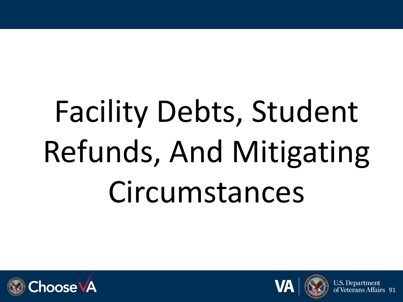# Facility Debts, Student Refunds, And Mitigating Circumstances





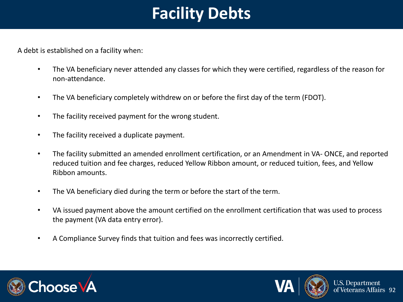### **Facility Debts**

A debt is established on a facility when:

- The VA beneficiary never attended any classes for which they were certified, regardless of the reason for non-attendance.
- The VA beneficiary completely withdrew on or before the first day of the term (FDOT).
- The facility received payment for the wrong student.
- The facility received a duplicate payment.
- The facility submitted an amended enrollment certification, or an Amendment in VA- ONCE, and reported reduced tuition and fee charges, reduced Yellow Ribbon amount, or reduced tuition, fees, and Yellow Ribbon amounts.
- The VA beneficiary died during the term or before the start of the term.
- VA issued payment above the amount certified on the enrollment certification that was used to process the payment (VA data entry error).
- A Compliance Survey finds that tuition and fees was incorrectly certified.





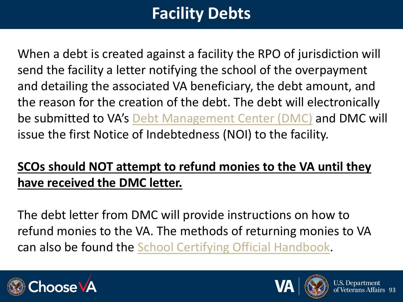## **Facility Debts**

When a debt is created against a facility the RPO of jurisdiction will send the facility a letter notifying the school of the overpayment and detailing the associated VA beneficiary, the debt amount, and the reason for the creation of the debt. The debt will electronically be submitted to VA's [Debt Management Center \(DMC\)](https://www.va.gov/debtman/) and DMC will issue the first Notice of Indebtedness (NOI) to the facility.

### **SCOs should NOT attempt to refund monies to the VA until they have received the DMC letter.**

The debt letter from DMC will provide instructions on how to refund monies to the VA. The methods of returning monies to VA can also be found the [School Certifying Official Handbook.](https://www.benefits.va.gov/GIBILL/docs/job_aids/SCO_Handbook.pdf)





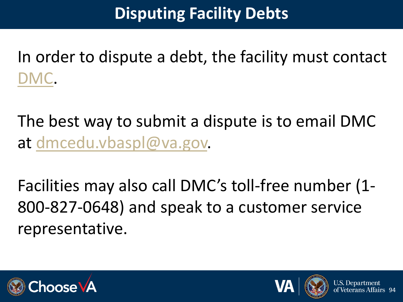### **Disputing Facility Debts**

In order to dispute a debt, the facility must contact [DMC](https://www.va.gov/debtman/).

The best way to submit a dispute is to email DMC at [dmcedu.vbaspl@va.gov.](mailto:dmcedu.vbaspl@va.gov)

Facilities may also call DMC's toll-free number (1- 800-827-0648) and speak to a customer service representative.





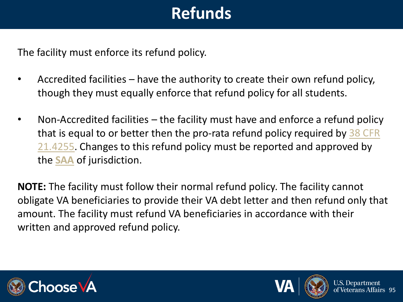## **Refunds**

The facility must enforce its refund policy.

- Accredited facilities have the authority to create their own refund policy, though they must equally enforce that refund policy for all students.
- Non-Accredited facilities the facility must have and enforce a refund policy that is equal to or better then the pro-rata refund policy required by 38 CFR [21.4255. Changes to this refund policy must be reported and approved by](https://www.ecfr.gov/cgi-bin/retrieveECFR?gp=1&SID=4b909f7d824caeb759144bf4ae44bc0b&ty=HTML&h=L&mc=true&r=SECTION&n=se38.2.21_14255)  the **[SAA](http://www.nasaa-vetseducation.com/contacts.aspx)** of jurisdiction.

**NOTE:** The facility must follow their normal refund policy. The facility cannot obligate VA beneficiaries to provide their VA debt letter and then refund only that amount. The facility must refund VA beneficiaries in accordance with their written and approved refund policy.





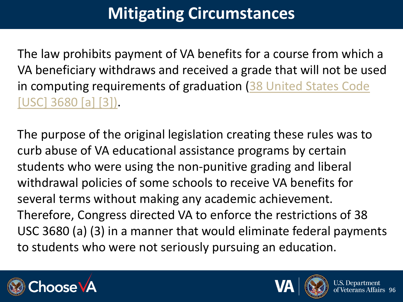The law prohibits payment of VA benefits for a course from which a VA beneficiary withdraws and received a grade that will not be used [in computing requirements of graduation \(38 United States Code](http://uscode.house.gov/view.xhtml?path=/prelim@title38/part3/chapter36&edition=prelim)  [USC] 3680 [a] [3]).

The purpose of the original legislation creating these rules was to curb abuse of VA educational assistance programs by certain students who were using the non-punitive grading and liberal withdrawal policies of some schools to receive VA benefits for several terms without making any academic achievement. Therefore, Congress directed VA to enforce the restrictions of 38 USC 3680 (a) (3) in a manner that would eliminate federal payments to students who were not seriously pursuing an education.





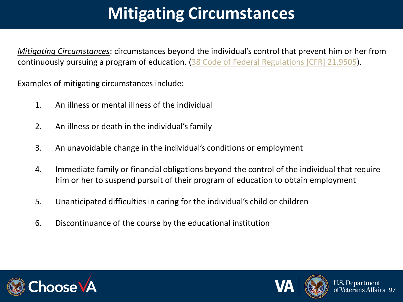*Mitigating Circumstances*: circumstances beyond the individual's control that prevent him or her from continuously pursuing a program of education. [\(38 Code of Federal Regulations \[CFR\] 21.9505](http://www.ecfr.gov/cgi-bin/retrieveECFR?gp=1&SID=e8c3f2286a149b8561990bb26e41b515&ty=HTML&h=L&mc=true&r=SECTION&n=se38.2.21_19505)).

Examples of mitigating circumstances include:

- 1. An illness or mental illness of the individual
- 2. An illness or death in the individual's family
- 3. An unavoidable change in the individual's conditions or employment
- 4. Immediate family or financial obligations beyond the control of the individual that require him or her to suspend pursuit of their program of education to obtain employment
- 5. Unanticipated difficulties in caring for the individual's child or children
- 6. Discontinuance of the course by the educational institution





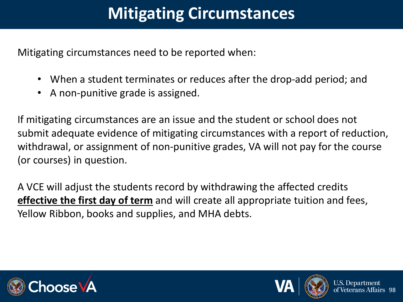Mitigating circumstances need to be reported when:

- When a student terminates or reduces after the drop-add period; and
- A non-punitive grade is assigned.

If mitigating circumstances are an issue and the student or school does not submit adequate evidence of mitigating circumstances with a report of reduction, withdrawal, or assignment of non-punitive grades, VA will not pay for the course (or courses) in question.

A VCE will adjust the students record by withdrawing the affected credits **effective the first day of term** and will create all appropriate tuition and fees, Yellow Ribbon, books and supplies, and MHA debts.



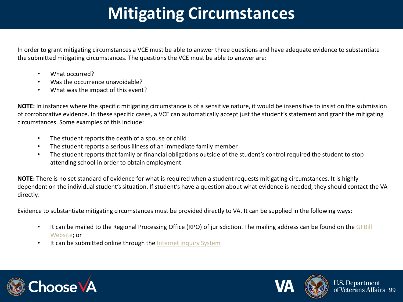In order to grant mitigating circumstances a VCE must be able to answer three questions and have adequate evidence to substantiate the submitted mitigating circumstances. The questions the VCE must be able to answer are:

- What occurred?
- Was the occurrence unavoidable?
- What was the impact of this event?

**NOTE:** In instances where the specific mitigating circumstance is of a sensitive nature, it would be insensitive to insist on the submission of corroborative evidence. In these specific cases, a VCE can automatically accept just the student's statement and grant the mitigating circumstances. Some examples of this include:

- The student reports the death of a spouse or child
- The student reports a serious illness of an immediate family member
- The student reports that family or financial obligations outside of the student's control required the student to stop attending school in order to obtain employment

**NOTE:** There is no set standard of evidence for what is required when a student requests mitigating circumstances. It is highly dependent on the individual student's situation. If student's have a question about what evidence is needed, they should contact the VA directly.

Evidence to substantiate mitigating circumstances must be provided directly to VA. It can be supplied in the following ways:

- [It can be mailed to the Regional Processing Office \(RPO\) of jurisdiction. The mailing address can be found on the GI Bill](http://www.benefits.va.gov/gibill/regional_processing.asp)  Website; or
- It can be submitted online through the [Internet Inquiry System](https://gibill.custhelp.com/app/home)





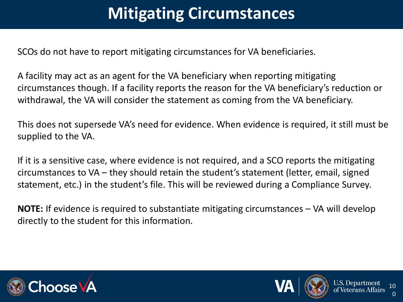SCOs do not have to report mitigating circumstances for VA beneficiaries.

A facility may act as an agent for the VA beneficiary when reporting mitigating circumstances though. If a facility reports the reason for the VA beneficiary's reduction or withdrawal, the VA will consider the statement as coming from the VA beneficiary.

This does not supersede VA's need for evidence. When evidence is required, it still must be supplied to the VA.

If it is a sensitive case, where evidence is not required, and a SCO reports the mitigating circumstances to VA – they should retain the student's statement (letter, email, signed statement, etc.) in the student's file. This will be reviewed during a Compliance Survey.

**NOTE:** If evidence is required to substantiate mitigating circumstances – VA will develop directly to the student for this information.







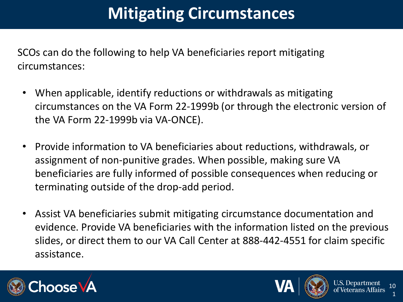SCOs can do the following to help VA beneficiaries report mitigating circumstances:

- When applicable, identify reductions or withdrawals as mitigating circumstances on the VA Form 22-1999b (or through the electronic version of the VA Form 22-1999b via VA-ONCE).
- Provide information to VA beneficiaries about reductions, withdrawals, or assignment of non-punitive grades. When possible, making sure VA beneficiaries are fully informed of possible consequences when reducing or terminating outside of the drop-add period.
- Assist VA beneficiaries submit mitigating circumstance documentation and evidence. Provide VA beneficiaries with the information listed on the previous slides, or direct them to our VA Call Center at 888-442-4551 for claim specific assistance.





1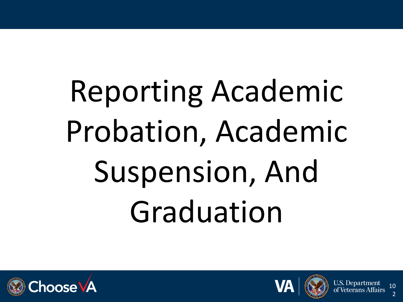# Reporting Academic Probation, Academic Suspension, And Graduation







2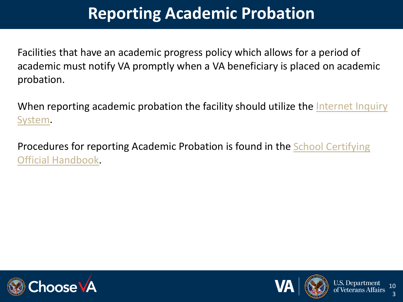### **Reporting Academic Probation**

Facilities that have an academic progress policy which allows for a period of academic must notify VA promptly when a VA beneficiary is placed on academic probation.

When reporting academic probation the facility should utilize the Internet Inquiry System.

[Procedures for reporting Academic Probation is found in the School Certifying](https://www.benefits.va.gov/GIBILL/docs/job_aids/SCO_Handbook.pdf) Official Handbook.





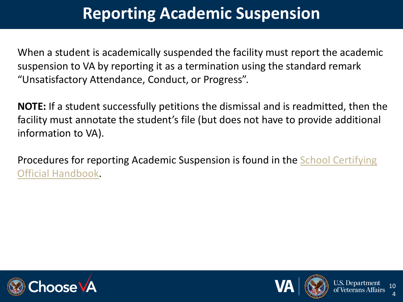### **Reporting Academic Suspension**

When a student is academically suspended the facility must report the academic suspension to VA by reporting it as a termination using the standard remark "Unsatisfactory Attendance, Conduct, or Progress".

**NOTE:** If a student successfully petitions the dismissal and is readmitted, then the facility must annotate the student's file (but does not have to provide additional information to VA).

[Procedures for reporting Academic Suspension is found in the School Certifying](https://www.benefits.va.gov/GIBILL/docs/job_aids/SCO_Handbook.pdf)  Official Handbook.





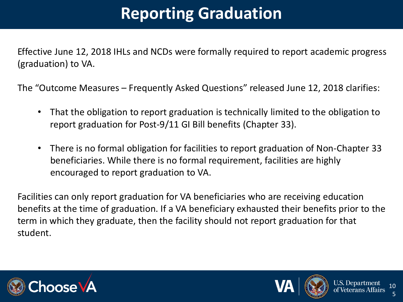## **Reporting Graduation**

Effective June 12, 2018 IHLs and NCDs were formally required to report academic progress (graduation) to VA.

The "Outcome Measures – Frequently Asked Questions" released June 12, 2018 clarifies:

- That the obligation to report graduation is technically limited to the obligation to report graduation for Post-9/11 GI Bill benefits (Chapter 33).
- There is no formal obligation for facilities to report graduation of Non-Chapter 33 beneficiaries. While there is no formal requirement, facilities are highly encouraged to report graduation to VA.

Facilities can only report graduation for VA beneficiaries who are receiving education benefits at the time of graduation. If a VA beneficiary exhausted their benefits prior to the term in which they graduate, then the facility should not report graduation for that student.





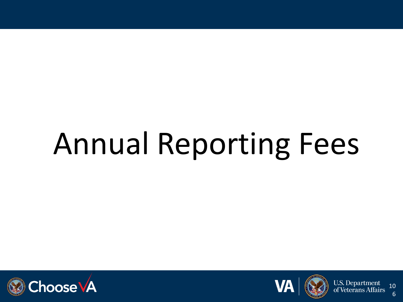# Annual Reporting Fees







6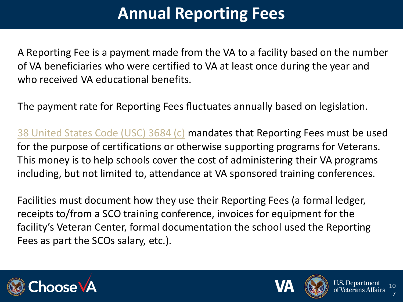### **Annual Reporting Fees**

A Reporting Fee is a payment made from the VA to a facility based on the number of VA beneficiaries who were certified to VA at least once during the year and who received VA educational benefits.

The payment rate for Reporting Fees fluctuates annually based on legislation.

[38 United States Code \(USC\) 3684 \(c\)](http://uscode.house.gov/view.xhtml?req=(title:38%20section:3684%20edition:prelim)) mandates that Reporting Fees must be used for the purpose of certifications or otherwise supporting programs for Veterans. This money is to help schools cover the cost of administering their VA programs including, but not limited to, attendance at VA sponsored training conferences.

Facilities must document how they use their Reporting Fees (a formal ledger, receipts to/from a SCO training conference, invoices for equipment for the facility's Veteran Center, formal documentation the school used the Reporting Fees as part the SCOs salary, etc.).





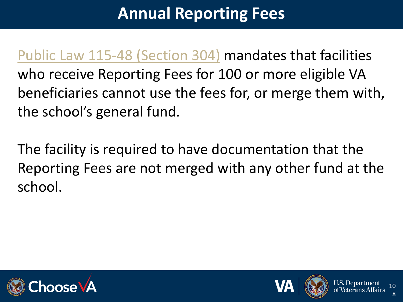### **Annual Reporting Fees**

[Public Law 115-48 \(Section 304\)](https://www.congress.gov/115/plaws/publ48/PLAW-115publ48.pdf) mandates that facilities who receive Reporting Fees for 100 or more eligible VA beneficiaries cannot use the fees for, or merge them with, the school's general fund.

The facility is required to have documentation that the Reporting Fees are not merged with any other fund at the school.





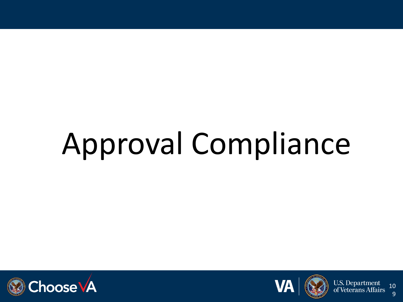# Approval Compliance





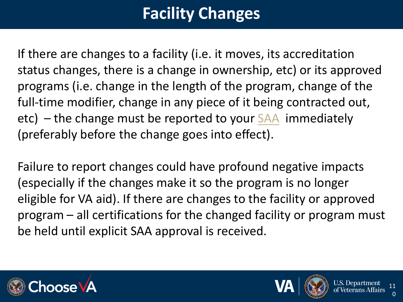## **Facility Changes**

If there are changes to a facility (i.e. it moves, its accreditation status changes, there is a change in ownership, etc) or its approved programs (i.e. change in the length of the program, change of the full-time modifier, change in any piece of it being contracted out, etc) – the change must be reported to your [SAA](http://www.nasaa-vetseducation.com/Contacts.aspx) immediately (preferably before the change goes into effect).

Failure to report changes could have profound negative impacts (especially if the changes make it so the program is no longer eligible for VA aid). If there are changes to the facility or approved program – all certifications for the changed facility or program must be held until explicit SAA approval is received.





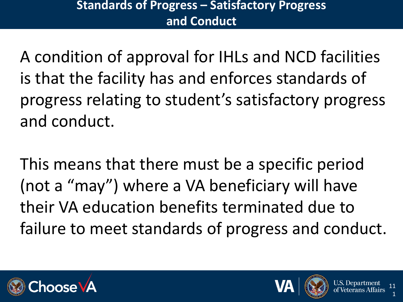#### **Standards of Progress – Satisfactory Progress and Conduct**

A condition of approval for IHLs and NCD facilities is that the facility has and enforces standards of progress relating to student's satisfactory progress and conduct.

This means that there must be a specific period (not a "may") where a VA beneficiary will have their VA education benefits terminated due to failure to meet standards of progress and conduct.





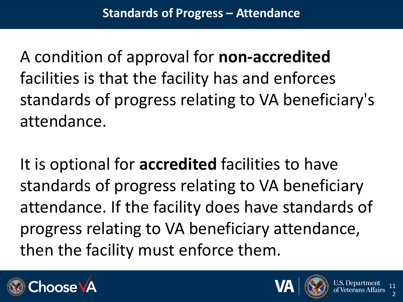A condition of approval for **non-accredited** facilities is that the facility has and enforces standards of progress relating to VA beneficiary's attendance.

It is optional for **accredited** facilities to have standards of progress relating to VA beneficiary attendance. If the facility does have standards of progress relating to VA beneficiary attendance, then the facility must enforce them.





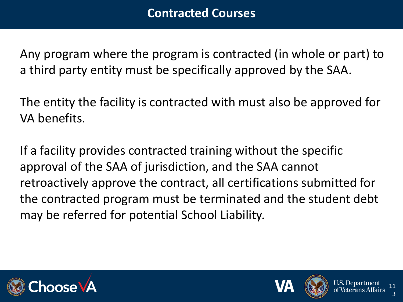Any program where the program is contracted (in whole or part) to a third party entity must be specifically approved by the SAA.

The entity the facility is contracted with must also be approved for VA benefits.

If a facility provides contracted training without the specific approval of the SAA of jurisdiction, and the SAA cannot retroactively approve the contract, all certifications submitted for the contracted program must be terminated and the student debt may be referred for potential School Liability.





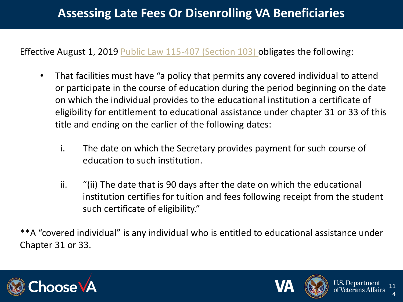Effective August 1, 2019 [Public Law 115-407 \(Section 103\) o](https://www.congress.gov/bill/115th-congress/senate-bill/2248/text)bligates the following:

- That facilities must have "a policy that permits any covered individual to attend or participate in the course of education during the period beginning on the date on which the individual provides to the educational institution a certificate of eligibility for entitlement to educational assistance under chapter 31 or 33 of this title and ending on the earlier of the following dates:
	- i. The date on which the Secretary provides payment for such course of education to such institution.
	- ii. "(ii) The date that is 90 days after the date on which the educational institution certifies for tuition and fees following receipt from the student such certificate of eligibility."

\*\*A "covered individual" is any individual who is entitled to educational assistance under Chapter 31 or 33.





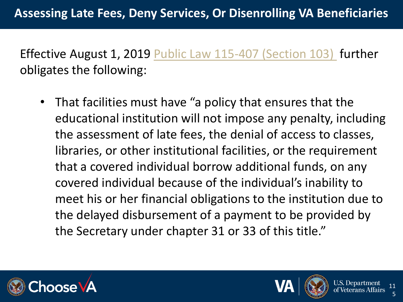Effective August 1, 2019 [Public Law 115-407 \(Section 103\)](https://www.congress.gov/bill/115th-congress/senate-bill/2248/text) further obligates the following:

• That facilities must have "a policy that ensures that the educational institution will not impose any penalty, including the assessment of late fees, the denial of access to classes, libraries, or other institutional facilities, or the requirement that a covered individual borrow additional funds, on any covered individual because of the individual's inability to meet his or her financial obligations to the institution due to the delayed disbursement of a payment to be provided by the Secretary under chapter 31 or 33 of this title."





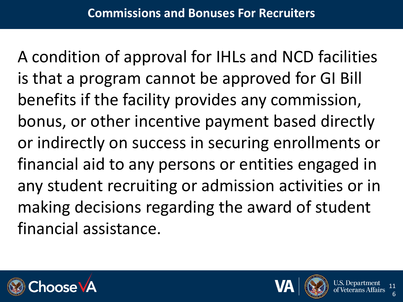A condition of approval for IHLs and NCD facilities is that a program cannot be approved for GI Bill benefits if the facility provides any commission, bonus, or other incentive payment based directly or indirectly on success in securing enrollments or financial aid to any persons or entities engaged in any student recruiting or admission activities or in making decisions regarding the award of student financial assistance.





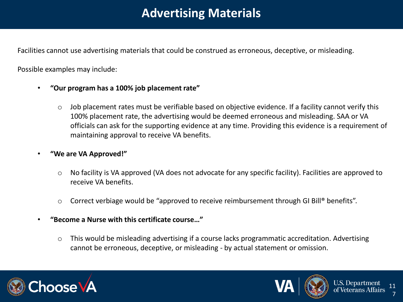#### **Advertising Materials**

Facilities cannot use advertising materials that could be construed as erroneous, deceptive, or misleading.

Possible examples may include:

- **"Our program has a 100% job placement rate"**
	- o Job placement rates must be verifiable based on objective evidence. If a facility cannot verify this 100% placement rate, the advertising would be deemed erroneous and misleading. SAA or VA officials can ask for the supporting evidence at any time. Providing this evidence is a requirement of maintaining approval to receive VA benefits.
- **"We are VA Approved!"**
	- o No facility is VA approved (VA does not advocate for any specific facility). Facilities are approved to receive VA benefits.
	- Correct verbiage would be "approved to receive reimbursement through GI Bill® benefits".
- **"Become a Nurse with this certificate course…"**
	- o This would be misleading advertising if a course lacks programmatic accreditation. Advertising cannot be erroneous, deceptive, or misleading - by actual statement or omission.





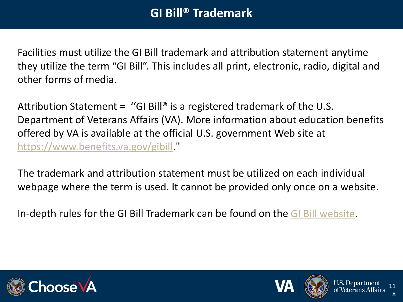#### **GI Bill® Trademark**

Facilities must utilize the GI Bill trademark and attribution statement anytime they utilize the term "GI Bill". This includes all print, electronic, radio, digital and other forms of media.

Attribution Statement = "GI Bill<sup>®</sup> is a registered trademark of the U.S. Department of Veterans Affairs (VA). More information about education benefits offered by VA is available at the official U.S. government Web site at <https://www.benefits.va.gov/gibill>."

The trademark and attribution statement must be utilized on each individual webpage where the term is used. It cannot be provided only once on a website.

In-depth rules for the GI Bill Trademark can be found on the [GI Bill website](https://benefits.va.gov/GIBILL/Trademark_Terms_of_Use.asp?_ga=2.55052457.362499548.1549890200-2139001422.1532022252).





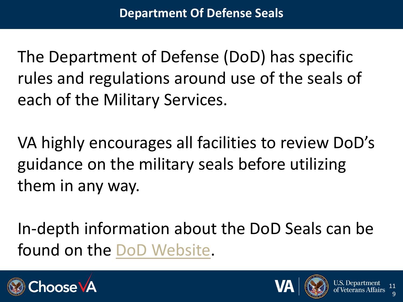The Department of Defense (DoD) has specific rules and regulations around use of the seals of each of the Military Services.

VA highly encourages all facilities to review DoD's guidance on the military seals before utilizing them in any way.

In-depth information about the DoD Seals can be found on the [DoD Website](https://dod.defense.gov/Portals/1/Documents/Trademarks/DOD%20Guide%20about%20use%20of%20seals%20logos%20insignia%20medals-16%20Oct%2015F.PDF).





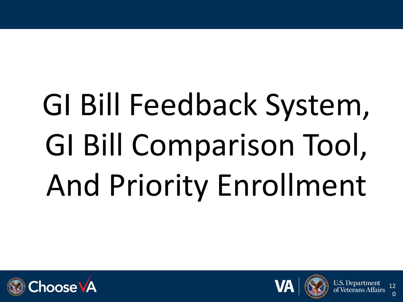# GI Bill Feedback System, GI Bill Comparison Tool, And Priority Enrollment





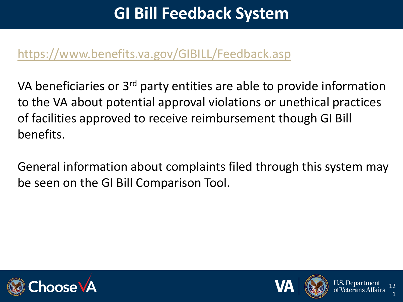### **GI Bill Feedback System**

#### <https://www.benefits.va.gov/GIBILL/Feedback.asp>

VA beneficiaries or 3<sup>rd</sup> party entities are able to provide information to the VA about potential approval violations or unethical practices of facilities approved to receive reimbursement though GI Bill benefits.

General information about complaints filed through this system may be seen on the GI Bill Comparison Tool.





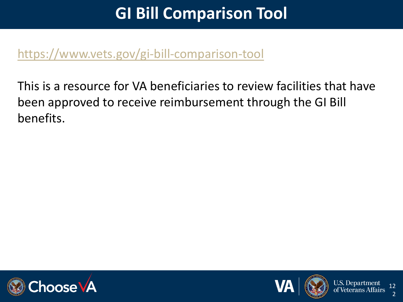#### **GI Bill Comparison Tool**

#### <https://www.vets.gov/gi-bill-comparison-tool>

This is a resource for VA beneficiaries to review facilities that have been approved to receive reimbursement through the GI Bill benefits.





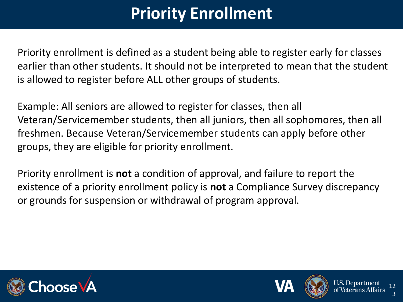## **Priority Enrollment**

Priority enrollment is defined as a student being able to register early for classes earlier than other students. It should not be interpreted to mean that the student is allowed to register before ALL other groups of students.

Example: All seniors are allowed to register for classes, then all Veteran/Servicemember students, then all juniors, then all sophomores, then all freshmen. Because Veteran/Servicemember students can apply before other groups, they are eligible for priority enrollment.

Priority enrollment is **not** a condition of approval, and failure to report the existence of a priority enrollment policy is **not** a Compliance Survey discrepancy or grounds for suspension or withdrawal of program approval.





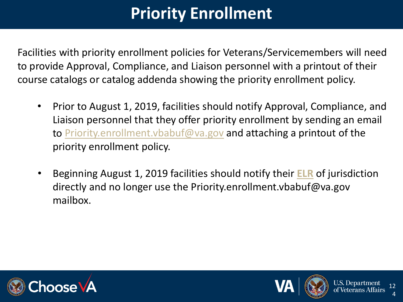## **Priority Enrollment**

Facilities with priority enrollment policies for Veterans/Servicemembers will need to provide Approval, Compliance, and Liaison personnel with a printout of their course catalogs or catalog addenda showing the priority enrollment policy.

- Prior to August 1, 2019, facilities should notify Approval, Compliance, and Liaison personnel that they offer priority enrollment by sending an email to [Priority.enrollment.vbabuf@va.gov](mailto:Priority.enrollment.vbabuf@va.gov) and attaching a printout of the priority enrollment policy.
- Beginning August 1, 2019 facilities should notify their **[ELR](https://benefits.va.gov/gibill/resources/education_resources/school_certifying_officials/elr.asp)** of jurisdiction directly and no longer use the Priority.enrollment.vbabuf@va.gov mailbox.





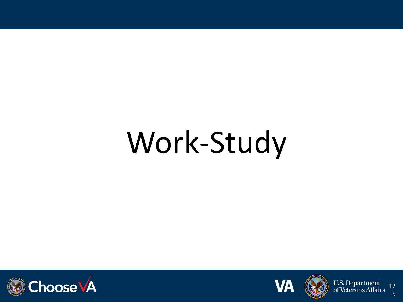## Work-Study







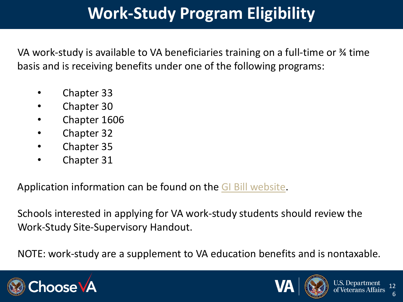### **Work-Study Program Eligibility**

VA work-study is available to VA beneficiaries training on a full-time or ¾ time basis and is receiving benefits under one of the following programs:

- Chapter 33
- Chapter 30
- Chapter 1606
- Chapter 32
- Chapter 35
- Chapter 31

Application information can be found on the [GI Bill website](https://www.benefits.va.gov/gibill/workstudy.asp).

Schools interested in applying for VA work-study students should review the Work-Study Site-Supervisory Handout.

NOTE: work-study are a supplement to VA education benefits and is nontaxable.





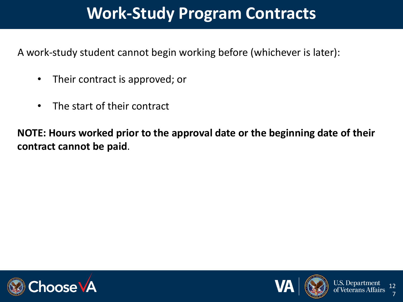#### **Work-Study Program Contracts**

A work-study student cannot begin working before (whichever is later):

- Their contract is approved; or
- The start of their contract

**NOTE: Hours worked prior to the approval date or the beginning date of their contract cannot be paid**.





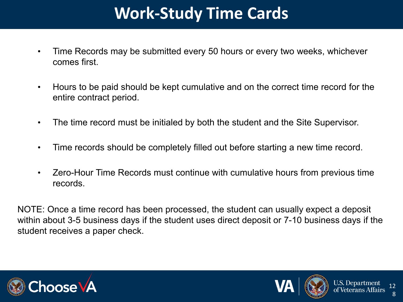### **Work-Study Time Cards**

- Time Records may be submitted every 50 hours or every two weeks, whichever comes first.
- Hours to be paid should be kept cumulative and on the correct time record for the entire contract period.
- The time record must be initialed by both the student and the Site Supervisor.
- Time records should be completely filled out before starting a new time record.
- Zero-Hour Time Records must continue with cumulative hours from previous time records.

NOTE: Once a time record has been processed, the student can usually expect a deposit within about 3-5 business days if the student uses direct deposit or 7-10 business days if the student receives a paper check.





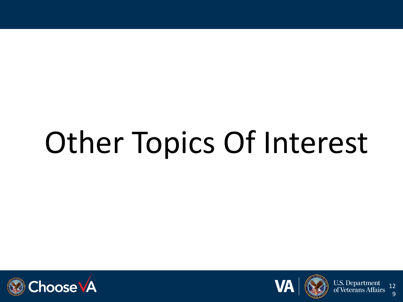## Other Topics Of Interest







U.S. Department<br>of Veterans Affairs 12 9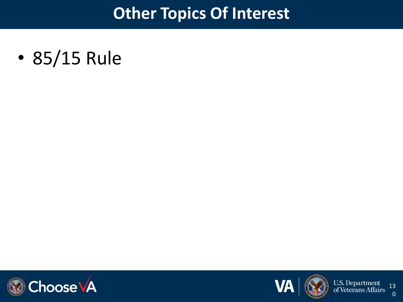#### **Other Topics Of Interest**

• 85/15 Rule